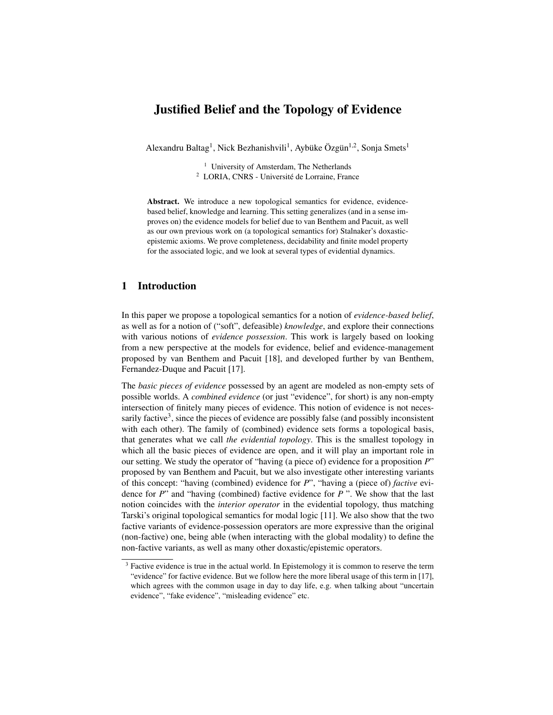# Justified Belief and the Topology of Evidence

Alexandru Baltag<sup>1</sup>, Nick Bezhanishvili<sup>1</sup>, Aybüke Özgün<sup>1,2</sup>, Sonja Smets<sup>1</sup>

 $<sup>1</sup>$  University of Amsterdam, The Netherlands</sup> <sup>2</sup> LORIA, CNRS - Université de Lorraine, France

Abstract. We introduce a new topological semantics for evidence, evidencebased belief, knowledge and learning. This setting generalizes (and in a sense improves on) the evidence models for belief due to van Benthem and Pacuit, as well as our own previous work on (a topological semantics for) Stalnaker's doxasticepistemic axioms. We prove completeness, decidability and finite model property for the associated logic, and we look at several types of evidential dynamics.

### 1 Introduction

In this paper we propose a topological semantics for a notion of *evidence-based belief*, as well as for a notion of ("soft", defeasible) *knowledge*, and explore their connections with various notions of *evidence possession*. This work is largely based on looking from a new perspective at the models for evidence, belief and evidence-management proposed by van Benthem and Pacuit [18], and developed further by van Benthem, Fernandez-Duque and Pacuit [17].

The *basic pieces of evidence* possessed by an agent are modeled as non-empty sets of possible worlds. A *combined evidence* (or just "evidence", for short) is any non-empty intersection of finitely many pieces of evidence. This notion of evidence is not necessarily factive<sup>3</sup>, since the pieces of evidence are possibly false (and possibly inconsistent with each other). The family of (combined) evidence sets forms a topological basis, that generates what we call *the evidential topology*. This is the smallest topology in which all the basic pieces of evidence are open, and it will play an important role in our setting. We study the operator of "having (a piece of) evidence for a proposition *P*" proposed by van Benthem and Pacuit, but we also investigate other interesting variants of this concept: "having (combined) evidence for *P*", "having a (piece of) *factive* evidence for *P*" and "having (combined) factive evidence for *P* ". We show that the last notion coincides with the *interior operator* in the evidential topology, thus matching Tarski's original topological semantics for modal logic [11]. We also show that the two factive variants of evidence-possession operators are more expressive than the original (non-factive) one, being able (when interacting with the global modality) to define the non-factive variants, as well as many other doxastic/epistemic operators.

<sup>&</sup>lt;sup>3</sup> Factive evidence is true in the actual world. In Epistemology it is common to reserve the term "evidence" for factive evidence. But we follow here the more liberal usage of this term in [17], which agrees with the common usage in day to day life, e.g. when talking about "uncertain evidence", "fake evidence", "misleading evidence" etc.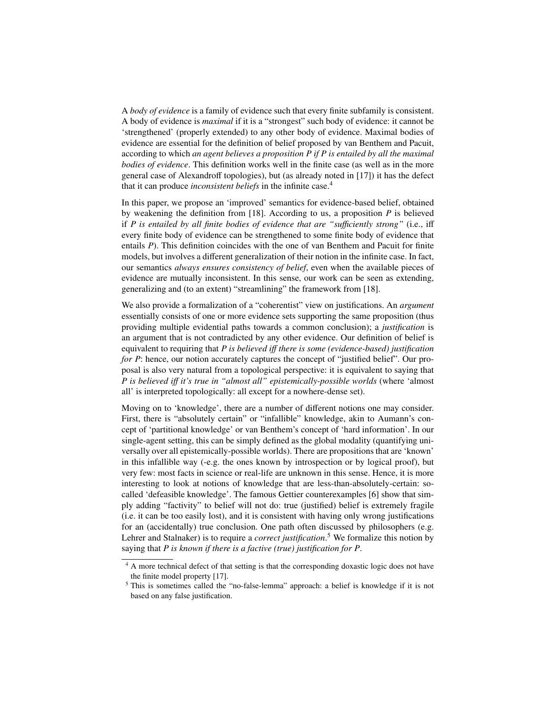A *body of evidence* is a family of evidence such that every finite subfamily is consistent. A body of evidence is *maximal* if it is a "strongest" such body of evidence: it cannot be 'strengthened' (properly extended) to any other body of evidence. Maximal bodies of evidence are essential for the definition of belief proposed by van Benthem and Pacuit, according to which *an agent believes a proposition P if P is entailed by all the maximal bodies of evidence*. This definition works well in the finite case (as well as in the more general case of Alexandroff topologies), but (as already noted in [17]) it has the defect that it can produce *inconsistent beliefs* in the infinite case.<sup>4</sup>

In this paper, we propose an 'improved' semantics for evidence-based belief, obtained by weakening the definition from [18]. According to us, a proposition *P* is believed if *P* is entailed by all finite bodies of evidence that are "sufficiently strong" (i.e., iff every finite body of evidence can be strengthened to some finite body of evidence that entails *P*). This definition coincides with the one of van Benthem and Pacuit for finite models, but involves a different generalization of their notion in the infinite case. In fact, our semantics *always ensures consistency of belief*, even when the available pieces of evidence are mutually inconsistent. In this sense, our work can be seen as extending, generalizing and (to an extent) "streamlining" the framework from [18].

We also provide a formalization of a "coherentist" view on justifications. An *argument* essentially consists of one or more evidence sets supporting the same proposition (thus providing multiple evidential paths towards a common conclusion); a *justification* is an argument that is not contradicted by any other evidence. Our definition of belief is equivalent to requiring that *P is believed i*ff *there is some (evidence-based) justification for P*: hence, our notion accurately captures the concept of "justified belief". Our proposal is also very natural from a topological perspective: it is equivalent to saying that *P is believed i*ff *it's true in "almost all" epistemically-possible worlds* (where 'almost all' is interpreted topologically: all except for a nowhere-dense set).

Moving on to 'knowledge', there are a number of different notions one may consider. First, there is "absolutely certain" or "infallible" knowledge, akin to Aumann's concept of 'partitional knowledge' or van Benthem's concept of 'hard information'. In our single-agent setting, this can be simply defined as the global modality (quantifying universally over all epistemically-possible worlds). There are propositions that are 'known' in this infallible way (-e.g. the ones known by introspection or by logical proof), but very few: most facts in science or real-life are unknown in this sense. Hence, it is more interesting to look at notions of knowledge that are less-than-absolutely-certain: socalled 'defeasible knowledge'. The famous Gettier counterexamples [6] show that simply adding "factivity" to belief will not do: true (justified) belief is extremely fragile (i.e. it can be too easily lost), and it is consistent with having only wrong justifications for an (accidentally) true conclusion. One path often discussed by philosophers (e.g. Lehrer and Stalnaker) is to require a *correct justification*. <sup>5</sup> We formalize this notion by saying that *P is known if there is a factive (true) justification for P*.

<sup>&</sup>lt;sup>4</sup> A more technical defect of that setting is that the corresponding doxastic logic does not have the finite model property [17].

<sup>&</sup>lt;sup>5</sup> This is sometimes called the "no-false-lemma" approach: a belief is knowledge if it is not based on any false justification.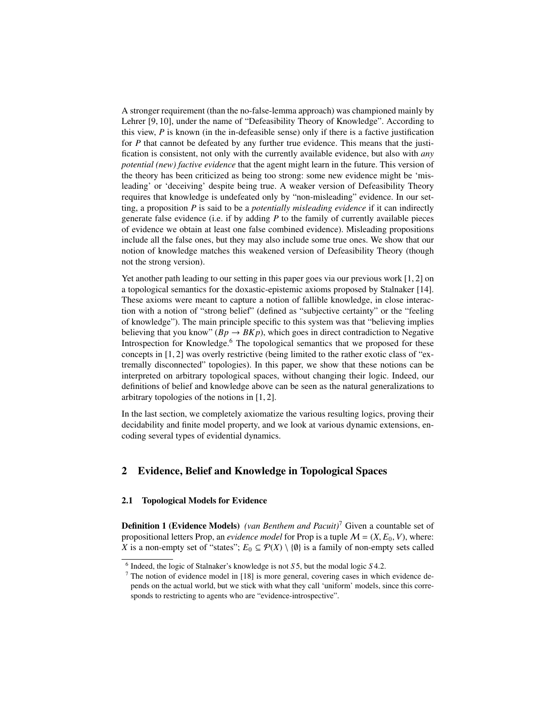A stronger requirement (than the no-false-lemma approach) was championed mainly by Lehrer [9, 10], under the name of "Defeasibility Theory of Knowledge". According to this view, *P* is known (in the in-defeasible sense) only if there is a factive justification for *P* that cannot be defeated by any further true evidence. This means that the justification is consistent, not only with the currently available evidence, but also with *any potential (new) factive evidence* that the agent might learn in the future. This version of the theory has been criticized as being too strong: some new evidence might be 'misleading' or 'deceiving' despite being true. A weaker version of Defeasibility Theory requires that knowledge is undefeated only by "non-misleading" evidence. In our setting, a proposition *P* is said to be a *potentially misleading evidence* if it can indirectly generate false evidence (i.e. if by adding *P* to the family of currently available pieces of evidence we obtain at least one false combined evidence). Misleading propositions include all the false ones, but they may also include some true ones. We show that our notion of knowledge matches this weakened version of Defeasibility Theory (though not the strong version).

Yet another path leading to our setting in this paper goes via our previous work [1, 2] on a topological semantics for the doxastic-epistemic axioms proposed by Stalnaker [14]. These axioms were meant to capture a notion of fallible knowledge, in close interaction with a notion of "strong belief" (defined as "subjective certainty" or the "feeling of knowledge"). The main principle specific to this system was that "believing implies believing that you know" ( $Bp \rightarrow BKp$ ), which goes in direct contradiction to Negative Introspection for Knowledge. $6$  The topological semantics that we proposed for these concepts in [1, 2] was overly restrictive (being limited to the rather exotic class of "extremally disconnected" topologies). In this paper, we show that these notions can be interpreted on arbitrary topological spaces, without changing their logic. Indeed, our definitions of belief and knowledge above can be seen as the natural generalizations to arbitrary topologies of the notions in [1, 2].

In the last section, we completely axiomatize the various resulting logics, proving their decidability and finite model property, and we look at various dynamic extensions, encoding several types of evidential dynamics.

# 2 Evidence, Belief and Knowledge in Topological Spaces

### 2.1 Topological Models for Evidence

Definition 1 (Evidence Models) *(van Benthem and Pacuit)*<sup>7</sup> Given a countable set of propositional letters Prop, an *evidence model* for Prop is a tuple  $M = (X, E_0, V)$ , where: *X* is a non-empty set of "states";  $E_0 \subseteq \mathcal{P}(X) \setminus \{0\}$  is a family of non-empty sets called

<sup>&</sup>lt;sup>6</sup> Indeed, the logic of Stalnaker's knowledge is not  $55$ , but the modal logic  $54.2$ .<br><sup>7</sup> The notion of evidence model in [18] is more general, covering cases in which

<sup>7</sup> The notion of evidence model in [18] is more general, covering cases in which evidence depends on the actual world, but we stick with what they call 'uniform' models, since this corresponds to restricting to agents who are "evidence-introspective".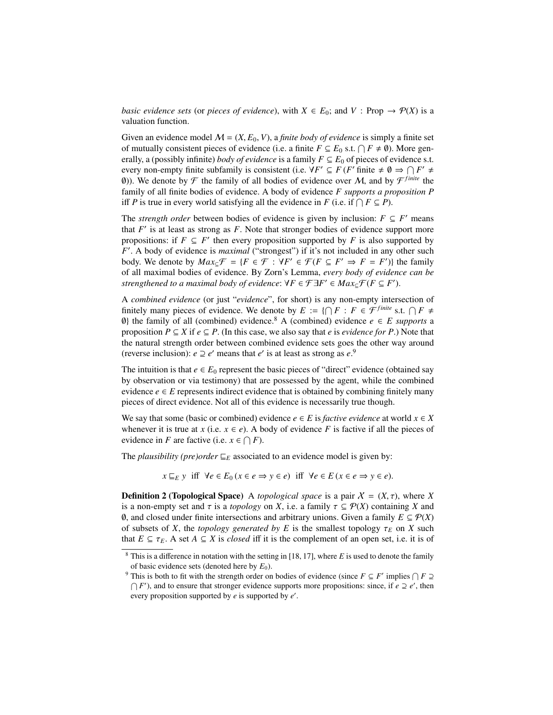*basic evidence sets* (or *pieces of evidence*), with  $X \in E_0$ ; and  $V : \text{Prop} \to \mathcal{P}(X)$  is a valuation function.

Given an evidence model  $M = (X, E_0, V)$ , a *finite body of evidence* is simply a finite set of mutually consistent pieces of evidence (i.e. a finite  $F \subseteq E_0$  s.t.  $\bigcap F \neq \emptyset$ ). More generally, a (possibly infinite) *body of evidence* is a family  $F \subseteq E_0$  of pieces of evidence s.t. every non-empty finite subfamily is consistent (i.e.  $\forall F' \subseteq F$  (*F'* finite  $\neq \emptyset \Rightarrow \bigcap F' \neq \emptyset$ (0)). We denote by  $\mathcal F$  the family of all bodies of evidence over M, and by  $\mathcal F^{finite}$  the family of all finite bodies of evidence. A body of evidence *F supports a proposition P* iff *P* is true in every world satisfying all the evidence in *F* (i.e. if  $\bigcap F \subseteq P$ ).

The *strength order* between bodies of evidence is given by inclusion:  $F \subseteq F'$  means that  $F'$  is at least as strong as  $F$ . Note that stronger bodies of evidence support more propositions: if  $F \subseteq F'$  then every proposition supported by *F* is also supported by *F*<sup>'</sup>. A body of evidence is *maximal* ("strongest") if it's not included in any other such body. We denote by  $Max_{\subseteq} \mathcal{F} = \{F \in \mathcal{F} : \forall F' \in \mathcal{F} (F \subseteq F' \Rightarrow F = F')\}$  the family of all maximal bodies of evidence. By Zorn's Lemma, *every body of evidence can be strengthened to a maximal body of evidence:*  $\forall F \in \mathcal{F} \exists F' \in Max_{\subseteq} \mathcal{F}(F \subseteq F')$ .

A *combined evidence* (or just "*evidence*", for short) is any non-empty intersection of finitely many pieces of evidence. We denote by  $E := \{ \bigcap F : F \in \mathcal{F}^{finite} \text{ s.t. } \bigcap F \neq$  $\emptyset$ } the family of all (combined) evidence.<sup>8</sup> A (combined) evidence  $e \in E$  *supports* a proposition  $P \subseteq X$  if  $e \subseteq P$ . (In this case, we also say that *e* is *evidence for* P.) Note that the natural strength order between combined evidence sets goes the other way around (reverse inclusion):  $e \supseteq e'$  means that  $e'$  is at least as strong as  $e^9$ .

The intuition is that  $e \in E_0$  represent the basic pieces of "direct" evidence (obtained say by observation or via testimony) that are possessed by the agent, while the combined evidence  $e \in E$  represents indirect evidence that is obtained by combining finitely many pieces of direct evidence. Not all of this evidence is necessarily true though.

We say that some (basic or combined) evidence  $e \in E$  is *factive evidence* at world  $x \in X$ whenever it is true at *x* (i.e.  $x \in e$ ). A body of evidence *F* is factive if all the pieces of evidence in *F* are factive (i.e.  $x \in \bigcap F$ ).

The *plausibility (pre)order*  $E$ <sub>*E*</sub> associated to an evidence model is given by:

 $x \sqsubseteq_E y$  iff  $\forall e \in E_0$  ( $x \in e \Rightarrow y \in e$ ) iff  $\forall e \in E$  ( $x \in e \Rightarrow y \in e$ ).

**Definition 2 (Topological Space)** A *topological space* is a pair  $X = (X, \tau)$ , where X is a non-empty set and  $\tau$  is a *topology* on *X*, i.e. a family  $\tau \subseteq \mathcal{P}(X)$  containing *X* and 0, and closed under finite intersections and arbitrary unions. Given a family  $E ⊆ P(X)$ of subsets of *X*, the *topology generated by E* is the smallest topology  $\tau_E$  on *X* such that  $E \subseteq \tau_E$ . A set  $A \subseteq X$  is *closed* iff it is the complement of an open set, i.e. it is of

<sup>8</sup> This is a difference in notation with the setting in [18, 17], where *E* is used to denote the family of basic evidence sets (denoted here by  $E_0$ ).

<sup>&</sup>lt;sup>9</sup> This is both to fit with the strength order on bodies of evidence (since  $F \subseteq F'$  implies  $\bigcap F \supseteq$  $\bigcap F'$ ), and to ensure that stronger evidence supports more propositions: since, if *e*  $\supseteq e'$ , then every proposition supported by *e* is supported by *e'*.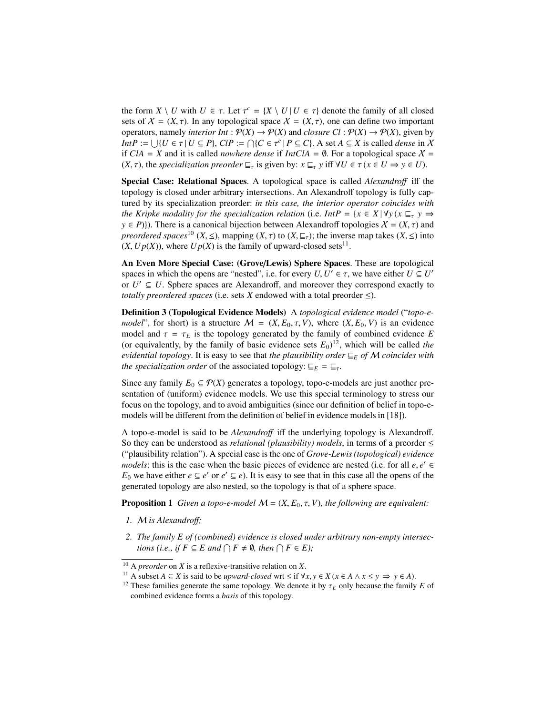the form  $X \setminus U$  with  $U \in \tau$ . Let  $\tau^c = \{X \setminus U | U \in \tau\}$  denote the family of all closed sets of  $X - (X, \tau)$ . In any topological space  $X - (X, \tau)$  one can define two important sets of  $X = (X, \tau)$ . In any topological space  $X = (X, \tau)$ , one can define two important operators, namely *interior Int* :  $P(X) \to P(X)$  and *closure Cl* :  $P(X) \to P(X)$ , given by *IntP* :=  $\bigcup \{U \in \tau | U \subseteq P\}$ ,  $CIP := \bigcap \{C \in \tau^c | P \subseteq C\}$ . A set  $A \subseteq X$  is called *dense* in X if  $CIA - X$  and it is called *nowhere dense* if  $IntCIA - \emptyset$ . For a topological space  $X$ if  $CIA = X$  and it is called *nowhere dense* if  $IntCIA = \emptyset$ . For a topological space  $X =$  $(X, \tau)$ , the *specialization preorder*  $\sqsubseteq_{\tau}$  is given by:  $x \sqsubseteq_{\tau} y$  iff  $\forall U \in \tau$  ( $x \in U \Rightarrow y \in U$ ).

Special Case: Relational Spaces. A topological space is called *Alexandro*ff iff the topology is closed under arbitrary intersections. An Alexandroff topology is fully captured by its specialization preorder: *in this case, the interior operator coincides with the Kripke modality for the specialization relation* (i.e. *IntP* = { $x \in X | \forall y (x \sqsubseteq_{\tau} y \Rightarrow$  $y \in P$ )). There is a canonical bijection between Alexandroff topologies  $X = (X, \tau)$  and *preordered spaces*<sup>10</sup> (*X*,  $\leq$ ), mapping (*X*,  $\tau$ ) to (*X*,  $\sqsubseteq$ <sub> $\tau$ </sub>); the inverse map takes (*X*,  $\leq$ ) into  $(X, Up(X))$ , where  $Up(X)$  is the family of upward-closed sets<sup>11</sup>.

An Even More Special Case: (Grove/Lewis) Sphere Spaces. These are topological spaces in which the opens are "nested", i.e. for every  $U, U' \in \tau$ , we have either  $U \subseteq U'$ <br>or  $U' \subseteq U$ . Sphere spaces are Alexandroff, and moreover they correspond exactly to or  $U' \subseteq U$ . Sphere spaces are Alexandroff, and moreover they correspond exactly to *totally preordered spaces* (i.e. sets *X* endowed with a total preorder  $\leq$ ).

Definition 3 (Topological Evidence Models) A *topological evidence model* ("*topo-emodel*", for short) is a structure  $M = (X, E_0, \tau, V)$ , where  $(X, E_0, V)$  is an evidence model and  $\tau = \tau_E$  is the topology generated by the family of combined evidence *E* (or equivalently, by the family of basic evidence sets  $E_0$ )<sup>12</sup>, which will be called *the evidential topology.* It is easy to see that *the plausibility order*  $E$ <sub>*E*</sub> *of* M *coincides* with *the specialization order* of the associated topology:  $E_F = E_T$ .

Since any family  $E_0 \subseteq \mathcal{P}(X)$  generates a topology, topo-e-models are just another presentation of (uniform) evidence models. We use this special terminology to stress our focus on the topology, and to avoid ambiguities (since our definition of belief in topo-emodels will be different from the definition of belief in evidence models in [18]).

A topo-e-model is said to be *Alexandro*ff iff the underlying topology is Alexandroff. So they can be understood as *relational (plausibility) models*, in terms of a preorder  $\leq$ ("plausibility relation"). A special case is the one of *Grove-Lewis (topological) evidence models*: this is the case when the basic pieces of evidence are nested (i.e. for all *e*, *e'* ∈ E<sub>c</sub> we have either  $e \subseteq e'$  or  $e' \subseteq e$ ). It is easy to see that in this case all the opens of the *E*<sub>0</sub> we have either  $e \subseteq e'$  or  $e' \subseteq e$ ). It is easy to see that in this case all the opens of the generated topology are also nested, so the topology is that of a sphere space.

**Proposition 1** *Given a topo-e-model*  $M = (X, E_0, \tau, V)$ *, the following are equivalent:* 

- *1.* M *is Alexandro*ff*;*
- *2. The family E of (combined) evidence is closed under arbitrary non-empty intersections (i.e., if*  $F \subseteq E$  *and*  $\bigcap F \neq \emptyset$ *, then*  $\bigcap F \in E$ *)*;

<sup>10</sup> A *preorder* on *X* is a reflexive-transitive relation on *X*.

<sup>&</sup>lt;sup>11</sup> A subset *A*  $\subseteq$  *X* is said to be *upward-closed* wrt  $\leq$  if  $\forall x, y \in X$  ( $x \in A \land x \leq y \implies y \in A$ ).

<sup>&</sup>lt;sup>12</sup> These families generate the same topology. We denote it by  $\tau_E$  only because the family *E* of combined evidence forms a *basis* of this topology.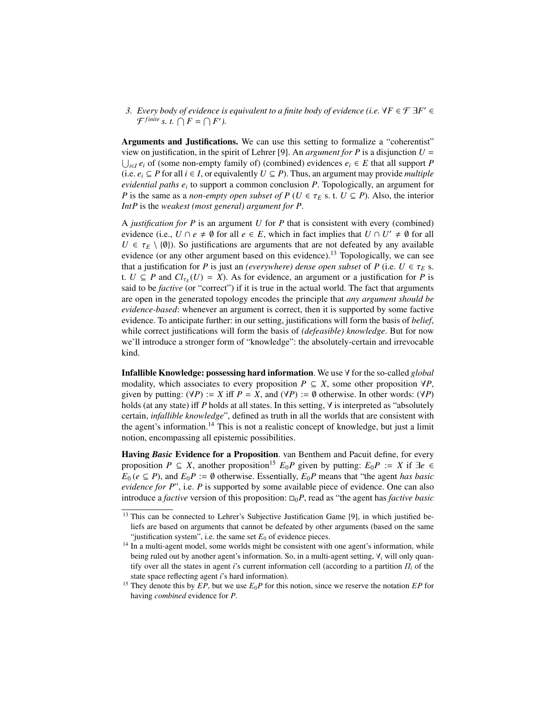*3. Every body of evidence is equivalent to a finite body of evidence (i.e.*  $\forall F \in \mathcal{F} \exists F' \in \mathcal{F}$  $\mathcal{F}^{finite}$  *s. t.*  $\bigcap F = \bigcap F'$ *).* 

Arguments and Justifications. We can use this setting to formalize a "coherentist" view on justification, in the spirit of Lehrer [9]. An *argument for P* is a disjunction  $U =$  $\bigcup_{i \in I} e_i$  of (some non-empty family of) (combined) evidences  $e_i$  ∈ *E* that all support *P* (i.e.  $e_i$  ⊆ *P* for all  $i \in I$ , or equivalently  $U \subseteq P$ ). Thus, an argument may provide *multiple evidential paths e<sup>i</sup>* to support a common conclusion *P*. Topologically, an argument for *P* is the same as a *non-empty open subset of P* ( $U \in \tau_E$  s. t.  $U \subseteq P$ ). Also, the interior *IntP* is the *weakest (most general) argument for P*.

A *justification for P* is an argument *U* for *P* that is consistent with every (combined) evidence (i.e.,  $U \cap e \neq \emptyset$  for all  $e \in E$ , which in fact implies that  $U \cap U' \neq \emptyset$  for all  $U \in \tau_E \setminus \{0\}$ ). So justifications are arguments that are not defeated by any available evidence (or any other argument based on this evidence).<sup>13</sup> Topologically, we can see that a justification for *P* is just an *(everywhere)* dense open subset of *P* (i.e.  $U \in \tau_E$  s. t.  $U \subseteq P$  and  $Cl_{\tau_E}(U) = X$ ). As for evidence, an argument or a justification for *P* is said to be *factive* (or "correct") if it is true in the actual world. The fact that arguments are open in the generated topology encodes the principle that *any argument should be evidence-based*: whenever an argument is correct, then it is supported by some factive evidence. To anticipate further: in our setting, justifications will form the basis of *belief*, while correct justifications will form the basis of *(defeasible) knowledge*. But for now we'll introduce a stronger form of "knowledge": the absolutely-certain and irrevocable kind.

Infallible Knowledge: possessing hard information. We use ∀ for the so-called *global* modality, which associates to every proposition  $P \subseteq X$ , some other proposition  $\forall P$ , given by putting:  $(\forall P) := X$  iff  $P = X$ , and  $(\forall P) := \emptyset$  otherwise. In other words:  $(\forall P)$ holds (at any state) iff *P* holds at all states. In this setting, ∀ is interpreted as "absolutely certain, *infallible knowledge*", defined as truth in all the worlds that are consistent with the agent's information.<sup>14</sup> This is not a realistic concept of knowledge, but just a limit notion, encompassing all epistemic possibilities.

Having *Basic* Evidence for a Proposition. van Benthem and Pacuit define, for every proposition *P*  $\subseteq$  *X*, another proposition<sup>15</sup>  $E_0P$  given by putting:  $E_0P := X$  if  $\exists e \in$  $E_0$  ( $e \subseteq P$ ), and  $E_0P := \emptyset$  otherwise. Essentially,  $E_0P$  means that "the agent *has basic evidence for P*", i.e. *P* is supported by some available piece of evidence. One can also introduce a *factive* version of this proposition:  $\square_0 P$ , read as "the agent has *factive basic* 

<sup>&</sup>lt;sup>13</sup> This can be connected to Lehrer's Subjective Justification Game [9], in which justified beliefs are based on arguments that cannot be defeated by other arguments (based on the same "justification system", i.e. the same set  $E_0$  of evidence pieces.

<sup>&</sup>lt;sup>14</sup> In a multi-agent model, some worlds might be consistent with one agent's information, while being ruled out by another agent's information. So, in a multi-agent setting, ∀*<sup>i</sup>* will only quantify over all the states in agent *i*'s current information cell (according to a partition  $\Pi_i$  of the state space reflecting agent *i*'s hard information).

<sup>&</sup>lt;sup>15</sup> They denote this by *EP*, but we use  $E_0P$  for this notion, since we reserve the notation *EP* for having *combined* evidence for *P*.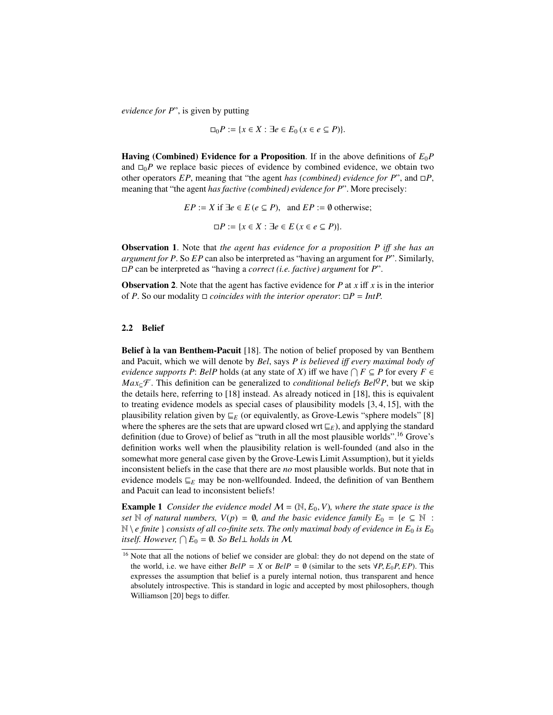*evidence for P*", is given by putting

$$
\Box_0 P := \{ x \in X : \exists e \in E_0 \, (x \in e \subseteq P) \}.
$$

**Having (Combined) Evidence for a Proposition.** If in the above definitions of  $E_0P$ and  $\Box_0 P$  we replace basic pieces of evidence by combined evidence, we obtain two other operators  $EP$ , meaning that "the agent *has (combined) evidence for*  $P$ ", and  $\Box P$ , meaning that "the agent *has factive (combined) evidence for P*". More precisely:

$$
EP := X \text{ if } \exists e \in E \, (e \subseteq P), \text{ and } EP := \emptyset \text{ otherwise;}
$$
\n
$$
\Box P := \{ x \in X : \exists e \in E \, (x \in e \subseteq P) \}.
$$

Observation 1. Note that *the agent has evidence for a proposition P i*ff *she has an argument for P*. So *EP* can also be interpreted as "having an argument for *P*". Similarly, *P* can be interpreted as "having a *correct (i.e. factive) argument* for *P*".

Observation 2. Note that the agent has factive evidence for *P* at *x* iff *x* is in the interior of *P*. So our modality  $\Box$  *coincides with the interior operator*:  $\Box P = IntP$ .

#### 2.2 Belief

Belief à la van Benthem-Pacuit [18]. The notion of belief proposed by van Benthem and Pacuit, which we will denote by *Bel*, says *P is believed i*ff *every maximal body of evidence supports*  $P$ : *BelP* holds (at any state of  $X$ ) iff we have  $\bigcap F \subseteq P$  for every  $F \in$ *Max* $\subset$ F. This definition can be generalized to *conditional beliefs Bel<sup>Q</sup>P*, but we skip the details here, referring to [18] instead. As already noticed in [18], this is equivalent to treating evidence models as special cases of plausibility models [3, 4, 15], with the plausibility relation given by  $E_E$  (or equivalently, as Grove-Lewis "sphere models" [8] where the spheres are the sets that are upward closed wrt  $E_E$ ), and applying the standard definition (due to Grove) of belief as "truth in all the most plausible worlds".<sup>16</sup> Grove's definition works well when the plausibility relation is well-founded (and also in the somewhat more general case given by the Grove-Lewis Limit Assumption), but it yields inconsistent beliefs in the case that there are *no* most plausible worlds. But note that in evidence models  $E_E$  may be non-wellfounded. Indeed, the definition of van Benthem and Pacuit can lead to inconsistent beliefs!

**Example 1** *Consider the evidence model*  $M = (\mathbb{N}, E_0, V)$ *, where the state space is the set*  $\mathbb N$  *of natural numbers,*  $V(p) = \emptyset$ *, and the basic evidence family*  $E_0 = \{e \subseteq \mathbb N :$  $\mathbb{N} \setminus e$  *finite*  $\}$  *consists of all co-finite sets. The only maximal body of evidence in E<sub>0</sub> is E<sub>0</sub> itself. However,*  $\bigcap E_0 = \emptyset$ *. So Bel*  $\bot$  *holds in M.* 

<sup>&</sup>lt;sup>16</sup> Note that all the notions of belief we consider are global: they do not depend on the state of the world, i.e. we have either  $BelP = X$  or  $BelP = \emptyset$  (similar to the sets  $\forall P, E_0P, EP$ ). This expresses the assumption that belief is a purely internal notion, thus transparent and hence absolutely introspective. This is standard in logic and accepted by most philosophers, though Williamson [20] begs to differ.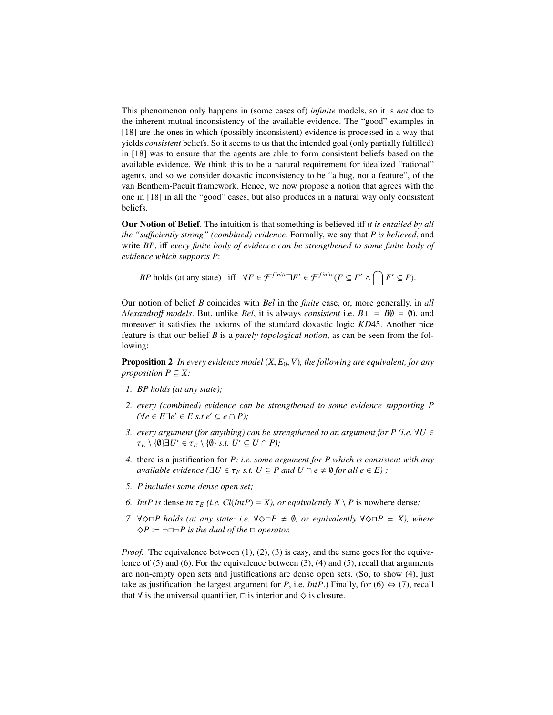This phenomenon only happens in (some cases of) *infinite* models, so it is *not* due to the inherent mutual inconsistency of the available evidence. The "good" examples in [18] are the ones in which (possibly inconsistent) evidence is processed in a way that yields *consistent* beliefs. So it seems to us that the intended goal (only partially fulfilled) in [18] was to ensure that the agents are able to form consistent beliefs based on the available evidence. We think this to be a natural requirement for idealized "rational" agents, and so we consider doxastic inconsistency to be "a bug, not a feature", of the van Benthem-Pacuit framework. Hence, we now propose a notion that agrees with the one in [18] in all the "good" cases, but also produces in a natural way only consistent beliefs.

Our Notion of Belief. The intuition is that something is believed iff *it is entailed by all the "su*ffi*ciently strong" (combined) evidence*. Formally, we say that *P is believed*, and write *BP*, iff *every finite body of evidence can be strengthened to some finite body of evidence which supports P*:

*BP* holds (at any state) iff  $\forall F \in \mathcal{F}^{finite} \exists F' \in \mathcal{F}^{finite}(F \subseteq F' \land \bigcap F' \subseteq P)$ .

Our notion of belief *B* coincides with *Bel* in the *finite* case, or, more generally, in *all Alexandro*ff *models*. But, unlike *Bel*, it is always *consistent* i.e. *B*⊥ = *B*∅ = ∅), and moreover it satisfies the axioms of the standard doxastic logic *KD*45. Another nice feature is that our belief *B* is a *purely topological notion*, as can be seen from the following:

**Proposition 2** In every evidence model  $(X, E_0, V)$ , the following are equivalent, for any *proposition*  $P \subseteq X$ :

- *1. BP holds (at any state);*
- *2. every (combined) evidence can be strengthened to some evidence supporting P*  $(∀*e* ∈ *E*∃*e*' ∈ *E s*.*t e*' ⊆ *e* ∩ *P*);$
- *3. every argument (for anything) can be strengthened to an argument for P (i.e.* ∀*U* ∈  $\tau_E \setminus \{0\} \exists U' \in \tau_E \setminus \{0\} \text{ s.t. } U' \subseteq U \cap P$ );
- *4.* there is a justification for *P: i.e. some argument for P which is consistent with any available evidence* ( $\exists U \in \tau_E$  *s.t.*  $U \subseteq P$  *and*  $U \cap e \neq \emptyset$  *for all*  $e \in E$ );
- *5. P includes some dense open set;*
- *6. IntP is* dense *in*  $\tau_F$  *(i.e. Cl*(*IntP*) = *X*), *or equivalently X* \ *P* is nowhere dense;
- *7.*  $∀\diamondsuit□P$  holds (at any state: i.e.  $∀\diamondsuit□P ≠ ∅$ , or equivalently  $∀\diamondsuit□P = X$ ), where  $\Diamond P := \neg \Box \neg P$  is the dual of the  $\Box$  operator.

*Proof.* The equivalence between (1), (2), (3) is easy, and the same goes for the equivalence of (5) and (6). For the equivalence between (3), (4) and (5), recall that arguments are non-empty open sets and justifications are dense open sets. (So, to show (4), just take as justification the largest argument for *P*, i.e. *IntP*.) Finally, for (6)  $\Leftrightarrow$  (7), recall that  $\forall$  is the universal quantifier,  $\Box$  is interior and  $\diamond$  is closure.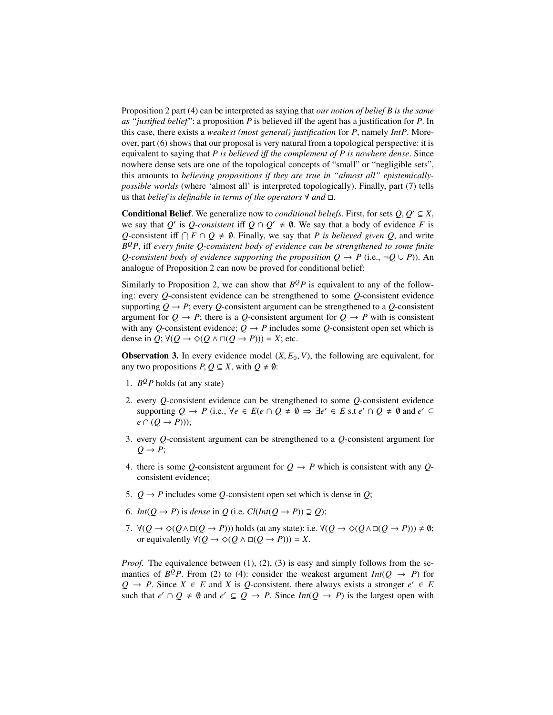Proposition 2 part (4) can be interpreted as saying that *our notion of belief B is the same as "justified belief"*: a proposition *P* is believed iff the agent has a justification for *P*. In this case, there exists a *weakest (most general) justification* for *P*, namely *IntP*. Moreover, part (6) shows that our proposal is very natural from a topological perspective: it is equivalent to saying that *P is believed i*ff *the complement of P is nowhere dense*. Since nowhere dense sets are one of the topological concepts of "small" or "negligible sets", this amounts to *believing propositions if they are true in "almost all" epistemicallypossible worlds* (where 'almost all' is interpreted topologically). Finally, part (7) tells us that *belief is definable in terms of the operators*  $\forall$  *and*  $\Box$ .

**Conditional Belief.** We generalize now to *conditional beliefs*. First, for sets  $Q, Q' \subseteq X$ , we say that a body of evidence *F* is we say that *Q*<sup>'</sup> is *Q-consistent* iff  $Q \cap Q' \neq \emptyset$ . We say that a body of evidence *F* is *Q*-consistent iff  $\bigcap F \cap Q \neq \emptyset$ . Finally, we say that *P* is believed given *Q*, and write *B <sup>Q</sup>P*, iff *every finite Q-consistent body of evidence can be strengthened to some finite Q-consistent body of evidence supporting the proposition*  $Q \rightarrow P$  *(i.e.,*  $\neg Q \cup P$ )). An analogue of Proposition 2 can now be proved for conditional belief:

Similarly to Proposition 2, we can show that  $B^QP$  is equivalent to any of the following: every *Q*-consistent evidence can be strengthened to some *Q*-consistent evidence supporting  $Q \rightarrow P$ ; every  $Q$ -consistent argument can be strengthened to a  $Q$ -consistent argument for  $Q \rightarrow P$ ; there is a *Q*-consistent argument for  $Q \rightarrow P$  with is consistent with any *Q*-consistent evidence;  $Q \rightarrow P$  includes some *Q*-consistent open set which is dense in  $Q$ ;  $\forall (Q \rightarrow \Diamond (Q \land \Box (Q \rightarrow P))) = X$ ; etc.

**Observation 3.** In every evidence model  $(X, E_0, V)$ , the following are equivalent, for any two propositions  $P, Q \subseteq X$ , with  $Q \neq \emptyset$ :

- 1.  $B^QP$  holds (at any state)
- 2. every *Q*-consistent evidence can be strengthened to some *Q*-consistent evidence supporting  $Q \to P$  (i.e.,  $\forall e \in E$  (*e*  $\cap$   $Q \neq \emptyset \Rightarrow \exists e' \in E$  s.t  $e' \cap Q \neq \emptyset$  and  $e' \subseteq$  $e \cap (Q \rightarrow P))$ ;
- 3. every *Q*-consistent argument can be strengthened to a *Q*-consistent argument for  $Q \rightarrow P$ ;
- 4. there is some Q-consistent argument for  $Q \rightarrow P$  which is consistent with any Qconsistent evidence;
- 5.  $Q \rightarrow P$  includes some Q-consistent open set which is dense in Q;
- 6. *Int*( $Q \rightarrow P$ ) is *dense* in  $Q$  (i.e.  $Cl(int(Q \rightarrow P)) \supseteq Q)$ ;
- 7.  $\forall (Q \rightarrow \Diamond(Q \land \Box(Q \rightarrow P)))$  holds (at any state): i.e.  $\forall (Q \rightarrow \Diamond(Q \land \Box(Q \rightarrow P))) \neq \emptyset$ ; or equivalently  $\forall (Q \rightarrow \Diamond (Q \land \Box (Q \rightarrow P))) = X$ .

*Proof.* The equivalence between (1), (2), (3) is easy and simply follows from the semantics of  $B^QP$ . From (2) to (4): consider the weakest argument  $Int(Q \rightarrow P)$  for *Q* → *P*. Since *X* ∈ *E* and *X* is *Q*-consistent, there always exists a stronger  $e' \in E$ such that  $e' \cap Q \neq \emptyset$  and  $e' \subseteq Q \rightarrow P$ . Since  $Int(Q \rightarrow P)$  is the largest open with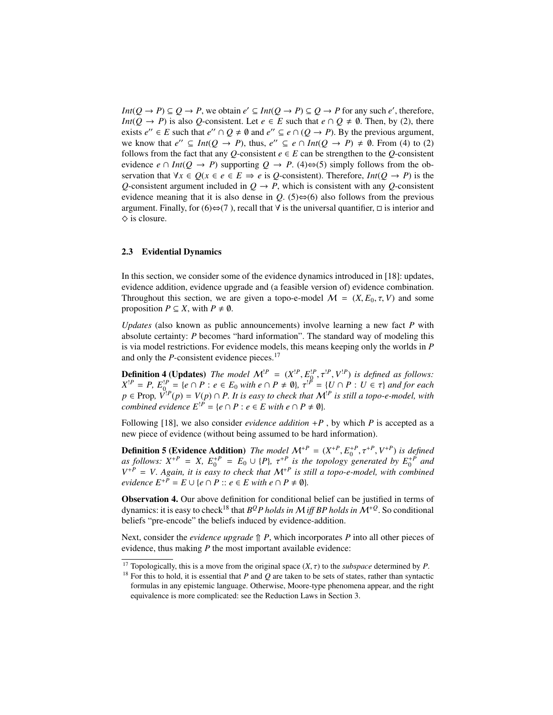*Int*( $Q \rightarrow P$ )  $\subseteq Q \rightarrow P$ , we obtain  $e' \subseteq Int(Q \rightarrow P) \subseteq Q \rightarrow P$  for any such  $e'$ , therefore, *Int*( $Q \rightarrow P$ ) is also  $Q$ -consistent. Let  $e \in E$  such that  $e \cap Q \neq \emptyset$ . Then, by (2), there exists  $e'' \in E$  such that  $e'' \cap Q \neq \emptyset$  and  $e'' \subseteq e \cap (Q \rightarrow P)$ . By the previous argument, we know that  $e'' \subseteq Int(Q \to P)$ , thus,  $e'' \subseteq e \cap Int(Q \to P) \neq \emptyset$ . From (4) to (2) follows from the fact that any *Q*-consistent  $e \in E$  can be strengthen to the *Q*-consistent evidence  $e \cap Int(Q \to P)$  supporting  $Q \to P$ . (4) $\Leftrightarrow$  (5) simply follows from the observation that  $\forall x \in O$ ( $x \in e \in E \Rightarrow e$  is *Q*-consistent). Therefore, *Int*( $O \rightarrow P$ ) is the *Q*-consistent argument included in  $Q \rightarrow P$ , which is consistent with any *Q*-consistent evidence meaning that it is also dense in  $Q$ . (5)⇔(6) also follows from the previous argument. Finally, for  $(6) \Leftrightarrow (7)$ , recall that  $\forall$  is the universal quantifier,  $\Box$  is interior and  $\diamond$  is closure.

### 2.3 Evidential Dynamics

In this section, we consider some of the evidence dynamics introduced in [18]: updates, evidence addition, evidence upgrade and (a feasible version of) evidence combination. Throughout this section, we are given a topo-e-model  $M = (X, E_0, \tau, V)$  and some proposition  $P \subseteq X$ , with  $P \neq \emptyset$ .

*Updates* (also known as public announcements) involve learning a new fact *P* with absolute certainty: *P* becomes "hard information". The standard way of modeling this is via model restrictions. For evidence models, this means keeping only the worlds in *P* and only the *P*-consistent evidence pieces.<sup>17</sup>

**Definition 4 (Updates)** The model  $\mathcal{M}^P = (X^{P}, E_0^P, \tau^{P}, V^{P})$  is defined as follows:<br>  $X^{P} = P F^{P} = \{e \in P : e \in F_0 \text{ with } e \in P + \emptyset \}$   $\tau^P = H \cap P : H \in \tau \}$  and for each  $X^{P} = P$ ,  $E_0^{P} = \{e \cap P : e \in E_0 \text{ with } e \cap P \neq \emptyset\}$ ,  $\tau^{P} = \{U \cap P : U \in \tau\}$  and for each  $p \in \text{Prop}, V^{P}(p) = V(p) \cap P$ . It is easy to check that  $\mathcal{M}^{P}$  is still a topo-e-model, with *combined evidence*  $E^{P} = \{e \cap P : e \in E \text{ with } e \cap P \neq \emptyset\}.$ 

Following [18], we also consider *evidence addition*  $+P$ , by which *P* is accepted as a new piece of evidence (without being assumed to be hard information).

**Definition 5 (Evidence Addition)** *The model*  $\mathcal{M}^{+P} = (X^{+P}, E^{+P}, \tau^{+P}, V^{+P})$  *is defined* as follows:  $X^{+P} = X^{-F+P} = F_2 + \frac{1}{2}P_1 \tau^{+P}$  *is the topology generated* by  $F^{+P}$  and *as follows:*  $X^{+P} = X$ ,  $E_0^{+P} = E_0 \cup \{P\}$ ,  $\tau^{+P}$  *is the topology generated by*  $E_0^{+P}$  *and*  $V^{+P} = V$  Again *it is gasy to check that*  $M^{+P}$  *is still a topo-e-model with combined*  $V^{+P}$  = *V. Again, it is easy to check that*  $M^{+P}$  *is still a topo-e-model, with combined evidence*  $E^{+P} = E \cup \{e \cap P : e \in E \text{ with } e \cap P \neq \emptyset\}.$ 

Observation 4. Our above definition for conditional belief can be justified in terms of dynamics: it is easy to check<sup>18</sup> that  $B^QP$  *holds in M* iff *BP holds in M*<sup>+Q</sup>. So conditional beliefs "pre-encode" the beliefs induced by evidence-addition.

Next, consider the *evidence upgrade*  $\hat{\parallel}$  *P*, which incorporates *P* into all other pieces of evidence, thus making *P* the most important available evidence:

<sup>&</sup>lt;sup>17</sup> Topologically, this is a move from the original space  $(X, \tau)$  to the *subspace* determined by *P*.

<sup>&</sup>lt;sup>18</sup> For this to hold, it is essential that  $P$  and  $Q$  are taken to be sets of states, rather than syntactic formulas in any epistemic language. Otherwise, Moore-type phenomena appear, and the right equivalence is more complicated: see the Reduction Laws in Section 3.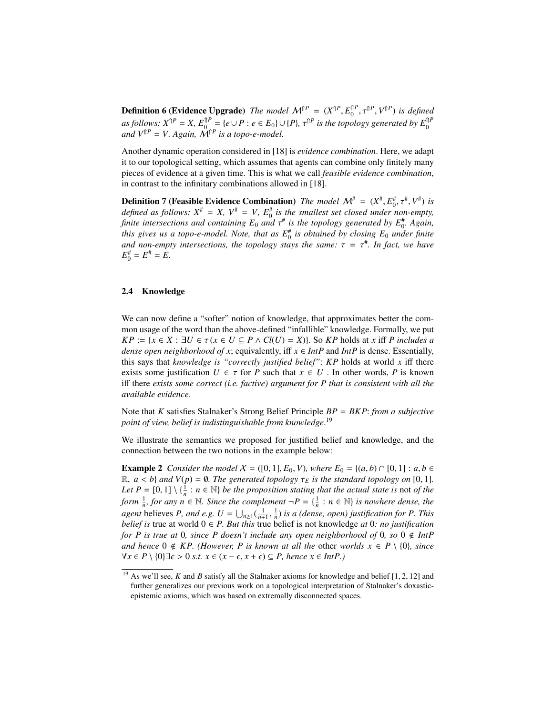**Definition 6 (Evidence Upgrade)** *The model*  $\mathcal{M}^{\uparrow}P = (X^{\uparrow}P, E^{\uparrow}P, \tau^{\uparrow}P, V^{\uparrow}P)$  *is defined*<br>as follows:  $Y^{\uparrow}P = Y, E^{\uparrow}P$ , (a)  $P \rightarrow E, P \rightarrow (P) \rightarrow \overline{P}P$  is defined as a manufally  $E^{\uparrow}P$ **Definition 6 (Evidence Upgrade)** The model  $M^{\dagger P} = (X^{\dagger P}, E_0^{\dagger P}, \tau^{\dagger P}, V^{\dagger P})$  is defined as follows:  $X^{\dagger P} = X$ ,  $E_0^{\dagger P} = \{e \cup P : e \in E_0\} \cup \{P\}$ ,  $\tau^{\dagger P}$  is the topology generated by  $E_0^{\dagger P}$  and  $V^{\dagger$ 

Another dynamic operation considered in [18] is *evidence combination*. Here, we adapt it to our topological setting, which assumes that agents can combine only finitely many pieces of evidence at a given time. This is what we call *feasible evidence combination*, in contrast to the infinitary combinations allowed in [18].

**Definition 7 (Feasible Evidence Combination)** *The model*  $\mathcal{M}^{\#} = (X^{\#}, E^{\#}_0, \tau^{\#}, V^{\#})$  *is* defined as follows:  $X^{\#} = X \mid V^{\#} = V \mid F^{\#}$  is the smallest set closed under non-empty *defined as follows:*  $X^* = X$ ,  $V^* = V$ ,  $E_0^*$  *is the smallest set closed under non-empty*, *finite intersections and containing*  $E_0$  *and*  $\tau^{\#}$  *is the topology generated by*  $E_0^{\#}$ . Again, this gives us a topo-e-model. Note, that as  $F^{\#}$  is obtained by closing  $E_2$  under finite *this gives us a topo-e-model. Note, that as*  $E_0^{\#}$  *is obtained by closing*  $E_0$  *under finite and non-empty intersections, the topology stays the same:*  $\tau = \tau^*$ *. In fact, we have*  $F^* - F^* - F$  $E_0^{\#} = E^{\#} = E.$ 

### 2.4 Knowledge

We can now define a "softer" notion of knowledge, that approximates better the common usage of the word than the above-defined "infallible" knowledge. Formally, we put *KP* := { $x \in X : \exists U \in \tau$  ( $x \in U \subseteq P \land Cl(U) = X$ }}. So *KP* holds at *x* iff *P includes a dense open neighborhood of x*; equivalently, iff  $x \in IntP$  and  $IntP$  is dense. Essentially, this says that *knowledge is "correctly justified belief"*: *KP* holds at world *x* iff there exists some justification  $U \in \tau$  for *P* such that  $x \in U$ . In other words, *P* is known iff there *exists some correct (i.e. factive) argument for P that is consistent with all the available evidence*.

Note that *K* satisfies Stalnaker's Strong Belief Principle *BP* = *BKP*: *from a subjective point of view, belief is indistinguishable from knowledge*. 19

We illustrate the semantics we proposed for justified belief and knowledge, and the connection between the two notions in the example below:

**Example 2** *Consider the model*  $X = ([0, 1], E_0, V)$ *, where*  $E_0 = \{(a, b) \cap [0, 1] : a, b \in$  $\mathbb{R}, a < b$  *and*  $V(p) = \emptyset$ *. The generated topology*  $\tau_E$  *is the standard topology on* [0, 1]*. Let*  $P = [0, 1] \setminus \{\frac{1}{n} : n \in \mathbb{N}\}$  *be the proposition stating that the actual state is* not *of the*<br>form  $\frac{1}{n}$  for any  $n \in \mathbb{N}$ . Since the complement  $-P = \{\frac{1}{n}, n \in \mathbb{N}\}$  is nowhere dense the *form*  $\frac{1}{n}$ *, for any*  $n \in \mathbb{N}$ *. Since the complement*  $\neg P = \{\frac{1}{n} : n \in \mathbb{N}\}\$  *is nowhere dense, the agent* believes *P*, and *e.g.*  $U = \bigcup_{n\geq 1} (\frac{1}{n+1}, \frac{1}{n})$  *is a (dense, open) justification for P. This belief is* true at world  $0 \in P$ . But this true belief is not knowledge at 0*: no justification for P is true at* 0*, since P doesn't include any open neighborhood of* 0*, so*  $0 \notin IntP$ *and hence*  $0 \notin KP$ . (However, P is known at all the other worlds  $x \in P \setminus \{0\}$ , since  $\forall x \in P \setminus \{0\} \exists \epsilon > 0 \text{ s.t. } x \in (x - \epsilon, x + \epsilon) \subseteq P$ , hence  $x \in Int P$ .)

<sup>&</sup>lt;sup>19</sup> As we'll see, *K* and *B* satisfy all the Stalnaker axioms for knowledge and belief [1, 2, 12] and further generalizes our previous work on a topological interpretation of Stalnaker's doxasticepistemic axioms, which was based on extremally disconnected spaces.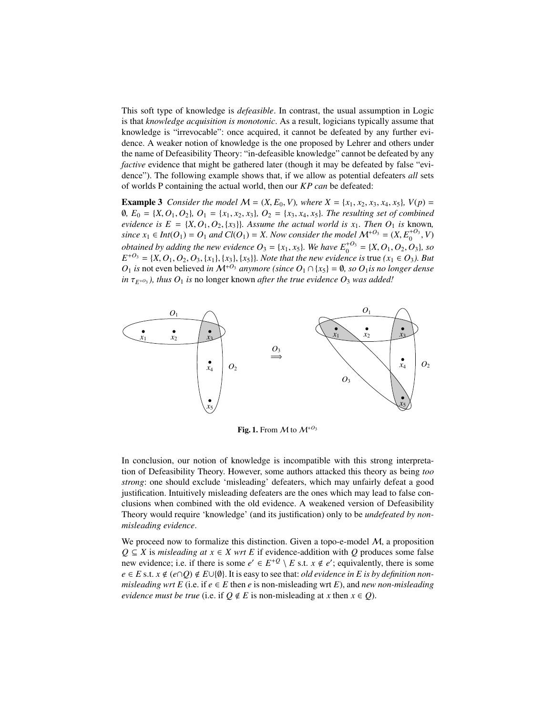This soft type of knowledge is *defeasible*. In contrast, the usual assumption in Logic is that *knowledge acquisition is monotonic*. As a result, logicians typically assume that knowledge is "irrevocable": once acquired, it cannot be defeated by any further evidence. A weaker notion of knowledge is the one proposed by Lehrer and others under the name of Defeasibility Theory: "in-defeasible knowledge" cannot be defeated by any *factive* evidence that might be gathered later (though it may be defeated by false "evidence"). The following example shows that, if we allow as potential defeaters *all* sets of worlds P containing the actual world, then our *KP can* be defeated:

**Example 3** *Consider the model*  $M = (X, E_0, V)$ *, where*  $X = \{x_1, x_2, x_3, x_4, x_5\}$ *,*  $V(p)$ <sup>∅</sup>*, E*<sup>0</sup> <sup>=</sup> {*X*, *<sup>O</sup>*1, *<sup>O</sup>*2}*, O*<sup>1</sup> <sup>=</sup> {*x*1, *<sup>x</sup>*2, *<sup>x</sup>*3}*, O*<sup>2</sup> <sup>=</sup> {*x*3, *<sup>x</sup>*4, *<sup>x</sup>*5}*. The resulting set of combined evidence is*  $E = \{X, O_1, O_2, \{x_3\}\}\$ . Assume the actual world is  $x_1$ . Then  $O_1$  is known, *since*  $x_1 \in Int(O_1) = O_1$  *and*  $Cl(O_1) = X$ . Now consider the model  $\mathcal{M}^{+O_3} = (X, E_0^{+O_3}, V)$ *obtained by adding the new evidence*  $O_3 = \{x_1, x_5\}$ *. We have*  $E_0^{+O_3} = \{X, O_1, O_2, O_3\}$ *, so*<br> $E^{+O_3} = \{X, O_1, O_2, O_2, O_3\}$ *rg* $\{x_1\}$ *l* $\{x_2\}$ *l* $\{x_3\}$ *l Note that the new evidence is true*  $(x_1 \in O_2$  $E^{+O_3} = \{X, O_1, O_2, O_3, \{x_1\}, \{x_3\}, \{x_5\}\}\$ *. Note that the new evidence is* true  $(x_1 \in O_3)$ *. But*  $O_4$  *is not even believed in*  $M^{+O_3}$  *anymore (since*  $O_4$ )  $O_4$   $r_s$ ) = 0, so  $O_4$  *is no longer denset O*<sub>1</sub> *is* not even believed *in*  $M^{+0_3}$  *anymore (since O*<sub>1</sub> ∩ {*x*<sub>5</sub>} = Ø*, so O*<sub>1</sub>*is no longer dense in*  $\tau_{E^{+0_3}}$ *), thus*  $O_1$  *is* no longer known *after the true evidence*  $O_3$  *was added!* 



Fig. 1. From  $M$  to  $M^{+O_3}$ 

In conclusion, our notion of knowledge is incompatible with this strong interpretation of Defeasibility Theory. However, some authors attacked this theory as being *too strong*: one should exclude 'misleading' defeaters, which may unfairly defeat a good justification. Intuitively misleading defeaters are the ones which may lead to false conclusions when combined with the old evidence. A weakened version of Defeasibility Theory would require 'knowledge' (and its justification) only to be *undefeated by nonmisleading evidence*.

We proceed now to formalize this distinction. Given a topo-e-model  $M$ , a proposition  $Q \subseteq X$  is *misleading at*  $x \in X$  *wrt E* if evidence-addition with *Q* produces some false new evidence; i.e. if there is some  $e' \in E^{+Q} \setminus E$  s.t.  $x \notin e'$ ; equivalently, there is some  $e \in E$  s.t.  $x \notin (e \cap Q) \notin E \cup \{ \emptyset \}$ . It is easy to see that: *old evidence in E is by definition nonmisleading wrt E* (i.e. if  $e \in E$  then  $e$  is non-misleading wrt  $E$ ), and *new non-misleading evidence must be true* (i.e. if  $Q \notin E$  is non-misleading at *x* then  $x \in Q$ ).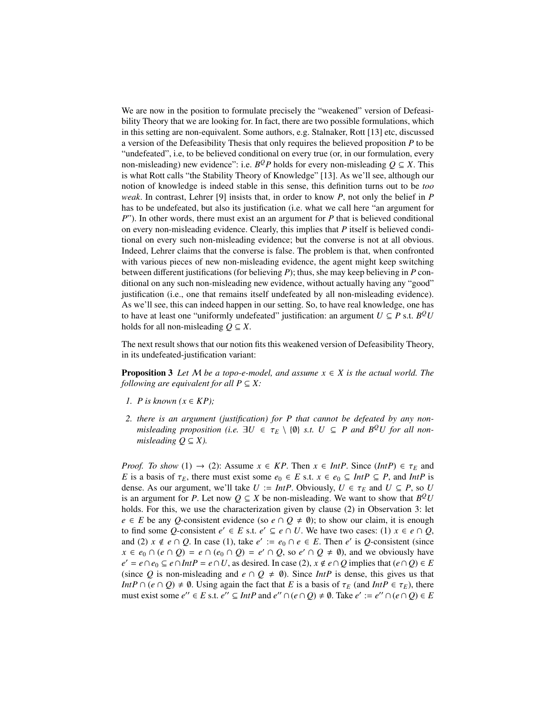We are now in the position to formulate precisely the "weakened" version of Defeasibility Theory that we are looking for. In fact, there are two possible formulations, which in this setting are non-equivalent. Some authors, e.g. Stalnaker, Rott [13] etc, discussed a version of the Defeasibility Thesis that only requires the believed proposition *P* to be "undefeated", i.e, to be believed conditional on every true (or, in our formulation, every non-misleading) new evidence": i.e.  $B^QP$  holds for every non-misleading  $Q \subseteq X$ . This is what Rott calls "the Stability Theory of Knowledge" [13]. As we'll see, although our notion of knowledge is indeed stable in this sense, this definition turns out to be *too weak*. In contrast, Lehrer [9] insists that, in order to know *P*, not only the belief in *P* has to be undefeated, but also its justification (i.e. what we call here "an argument for *P*"). In other words, there must exist an an argument for *P* that is believed conditional on every non-misleading evidence. Clearly, this implies that *P* itself is believed conditional on every such non-misleading evidence; but the converse is not at all obvious. Indeed, Lehrer claims that the converse is false. The problem is that, when confronted with various pieces of new non-misleading evidence, the agent might keep switching between different justifications (for believing *P*); thus, she may keep believing in *P* conditional on any such non-misleading new evidence, without actually having any "good" justification (i.e., one that remains itself undefeated by all non-misleading evidence). As we'll see, this can indeed happen in our setting. So, to have real knowledge, one has to have at least one "uniformly undefeated" justification: an argument  $U \subseteq P$  s.t.  $B^{\mathcal{Q}}U$ holds for all non-misleading  $Q \subseteq X$ .

The next result shows that our notion fits this weakened version of Defeasibility Theory, in its undefeated-justification variant:

**Proposition 3** *Let*  $M$  *be a topo-e-model, and assume*  $x \in X$  *is the actual world. The following are equivalent for all*  $P \subseteq X$ *:* 

- *1. P* is known  $(x \in KP)$ ;
- *2. there is an argument (justification) for P that cannot be defeated by any nonmisleading proposition (i.e.*  $\exists U \in \tau_E \setminus \{0\}$  *s.t.*  $U \subseteq P$  *and*  $B^{\mathcal{Q}}U$  *for all nonmisleading*  $Q \subseteq X$ *).*

*Proof. To show* (1)  $\rightarrow$  (2): Assume  $x \in KP$ . Then  $x \in IntP$ . Since (*IntP*)  $\in \tau_E$  and *E* is a basis of  $\tau_E$ , there must exist some  $e_0 \in E$  s.t.  $x \in e_0 \subseteq Int P \subseteq P$ , and *IntP* is dense. As our argument, we'll take  $U := Int P$ . Obviously,  $U \in \tau_E$  and  $U \subseteq P$ , so *U* is an argument for *P*. Let now  $Q \subseteq X$  be non-misleading. We want to show that  $B^Q U$ holds. For this, we use the characterization given by clause (2) in Observation 3: let *e* ∈ *E* be any *Q*-consistent evidence (so *e* ∩ *Q*  $\neq$  0); to show our claim, it is enough to find some *Q*-consistent  $e' \in E$  s.t.  $e' \subseteq e \cap U$ . We have two cases: (1)  $x \in e \cap Q$ , and (2)  $x \notin e \cap Q$ . In case (1), take  $e' := e_0 \cap e \in E$ . Then  $e'$  is Q-consistent (since *x* ∈  $e_0$  ∩  $(e \cap Q) = e \cap (e_0 \cap Q) = e' \cap Q$ , so  $e' \cap Q \neq \emptyset$ ), and we obviously have  $e' = e \cap e_0 \subseteq e \cap Int P = e \cap U$ , as desired. In case (2),  $x \notin e \cap Q$  implies that  $(e \cap Q) \in E$ (since Q is non-misleading and  $e \cap Q \neq \emptyset$ ). Since *IntP* is dense, this gives us that *IntP*  $\cap$  (*e*  $\cap$  *Q*)  $\neq$  0. Using again the fact that *E* is a basis of  $\tau_E$  (and *IntP*  $\in \tau_E$ ), there must exist some  $e'' \in E$  s.t.  $e'' \subseteq IntP$  and  $e'' \cap (e \cap Q) \neq \emptyset$ . Take  $e' := e'' \cap (e \cap Q) \in E$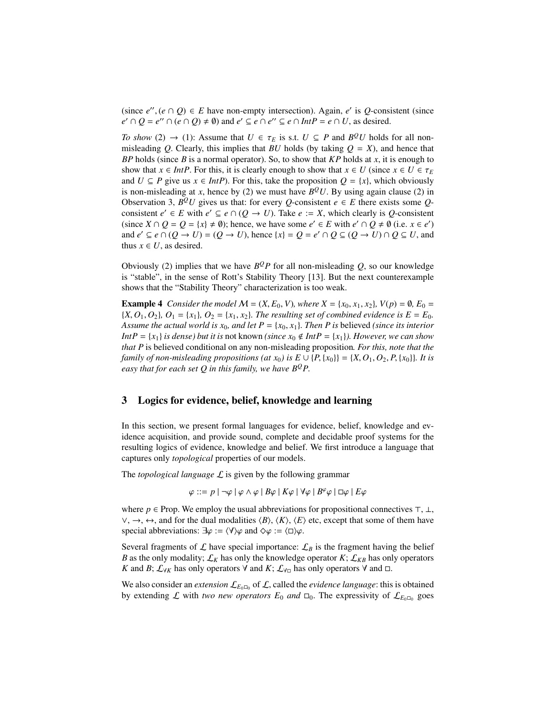(since  $e''$ ,  $(e \cap Q) \in E$  have non-empty intersection). Again,  $e'$  is Q-consistent (since  $e' \cap Q - e'' \cap (e \cap Q) + \emptyset$ ) and  $e' \subseteq e \cap e'' \subseteq e \cap Int P - e \cap U$  as desired  $e' \cap Q = e'' \cap (e \cap Q) \neq \emptyset$  and  $e' \subseteq e \cap e'' \subseteq e \cap Int P = e \cap U$ , as desired.

*To show* (2)  $\rightarrow$  (1): Assume that *U*  $\in \tau_E$  is s.t. *U*  $\subseteq$  *P* and *B*<sup>*Q*</sup>*U* holds for all non-<br>misleading *O* Clearly this implies that *RII* holds (by taking *O* – *Y*) and hence that misleading *Q*. Clearly, this implies that *BU* holds (by taking  $Q = X$ ), and hence that *BP* holds (since *B* is a normal operator). So, to show that *KP* holds at *x*, it is enough to show that  $x \in Int$ *P*. For this, it is clearly enough to show that  $x \in U$  (since  $x \in U \in \tau_F$ and  $U \subseteq P$  give us  $x \in IntP$ ). For this, take the proposition  $O = \{x\}$ , which obviously is non-misleading at *x*, hence by (2) we must have  $B^{\mathcal{Q}}U$ . By using again clause (2) in Observation 3,  $B^{\mathcal{Q}}U$  gives us that: for every *Q*-consistent  $e \in E$  there exists some *Q*consistent  $e' \in E$  with  $e' \subseteq e \cap (Q \to U)$ . Take  $e := X$ , which clearly is *Q*-consistent (since  $X \cap Q = Q = \{x\} \neq \emptyset$ ); hence, we have some  $e' \in E$  with  $e' \cap Q \neq \emptyset$  (i.e.  $x \in e'$ ) and  $e' \subseteq e \cap (Q \to U) = (Q \to U)$ , hence  $\{x\} = Q = e' \cap Q \subseteq (Q \to U) \cap Q \subseteq U$ , and thus  $x \in U$ , as desired.

Obviously (2) implies that we have  $B^QP$  for all non-misleading  $Q$ , so our knowledge is "stable", in the sense of Rott's Stability Theory [13]. But the next counterexample shows that the "Stability Theory" characterization is too weak.

**Example 4** *Consider the model M* =  $(X, E_0, V)$ *, where*  $X = \{x_0, x_1, x_2\}$ *,*  $V(p) = \emptyset$ *, E*<sub>0</sub> =  ${X, O_1, O_2}$ *, O*<sub>1</sub> = {*x*<sub>1</sub>*}*, *O*<sub>2</sub> = {*x*<sub>1</sub>*, x*<sub>2</sub>*}. The resulting set of combined evidence is*  $E = E_0$ *. Assume the actual world is*  $x_0$ *, and let*  $P = \{x_0, x_1\}$ *. Then P is believed <i>(since its interior*) *IntP* = {*x*<sub>1</sub>} *is dense) but it is not known <i>(since x<sub>0</sub>*  $\notin$  *IntP* = {*x*<sub>1</sub>}*). However, we can show that P* is believed conditional on any non-misleading proposition*. For this, note that the family of non-misleading propositions (at*  $x_0$ *) is*  $E \cup \{P, \{x_0\}\} = \{X, O_1, O_2, P, \{x_0\}\}\$ *. It is easy that for each set Q in this family, we have*  $B^Q P$ *.* 

# 3 Logics for evidence, belief, knowledge and learning

In this section, we present formal languages for evidence, belief, knowledge and evidence acquisition, and provide sound, complete and decidable proof systems for the resulting logics of evidence, knowledge and belief. We first introduce a language that captures only *topological* properties of our models.

The *topological language* L is given by the following grammar

$$
\varphi ::= p | \neg \varphi | \varphi \land \varphi | B\varphi | K\varphi | \forall \varphi | B^{\varphi} \varphi | \Box \varphi | E\varphi
$$

where  $p \in$  Prop. We employ the usual abbreviations for propositional connectives  $\top$ ,  $\bot$ ,  $\vee$ , →, ↔, and for the dual modalities  $\langle B \rangle$ ,  $\langle K \rangle$ ,  $\langle E \rangle$  etc, except that some of them have special abbreviations:  $\exists \varphi := \langle \forall \rangle \varphi$  and  $\Diamond \varphi := \langle \Box \rangle \varphi$ .

Several fragments of  $\mathcal L$  have special importance:  $\mathcal L_B$  is the fragment having the belief *B* as the only modality;  $\mathcal{L}_K$  has only the knowledge operator *K*;  $\mathcal{L}_{KB}$  has only operators *K* and *B*;  $\mathcal{L}_{\forall K}$  has only operators  $\forall$  and *K*;  $\mathcal{L}_{\forall \Box}$  has only operators  $\forall$  and  $\Box$ .

We also consider an *extension*  $\mathcal{L}_{E_0\Box_0}$  of  $\mathcal{L}$ , called the *evidence language*: this is obtained by extending L with *two new operators*  $E_0$  *and*  $\Box_0$ . The expressivity of  $\mathcal{L}_{E_0\Box_0}$  goes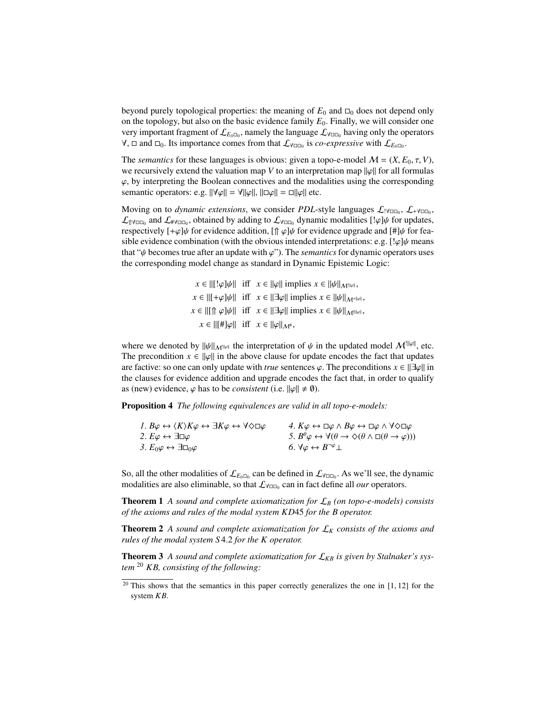beyond purely topological properties: the meaning of  $E_0$  and  $\square_0$  does not depend only on the topology, but also on the basic evidence family *E*0. Finally, we will consider one very important fragment of  $\mathcal{L}_{E_0\Box_0}$ , namely the language  $\mathcal{L}_{\forall\Box\Box_0}$  having only the operators  $\forall$ ,  $\Box$  and  $\Box$ <sub>0</sub>. Its importance comes from that  $\mathcal{L}_{\forall \Box \Box_0}$  is *co-expressive* with  $\mathcal{L}_{E_0\Box_0}$ .

The *semantics* for these languages is obvious: given a topo-e-model  $M = (X, E_0, \tau, V)$ , we recursively extend the valuation map *V* to an interpretation map  $\|\varphi\|$  for all formulas  $\varphi$ , by interpreting the Boolean connectives and the modalities using the corresponding semantic operators: e.g.  $||\nabla \varphi|| = \nabla ||\varphi||$ ,  $||\Box \varphi|| = \Box ||\varphi||$  etc.

Moving on to *dynamic extensions*, we consider *PDL*-style languages  $\mathcal{L}_{\text{IVOD}}$ ,  $\mathcal{L}_{\text{+VOD}}$ ,  $\mathcal{L}_{\parallel \text{YCD}_0}$  and  $\mathcal{L}_{\text{WCD}_0}$ , obtained by adding to  $\mathcal{L}_{\text{YCD}_0}$  dynamic modalities  $[! \varphi] \psi$  for updates,<br>respectively  $[+ \omega] \psi$  for evidence addition. If  $\omega \psi$  for evidence upgrade and  $[+ \psi] \psi$  for fea respectively  $[+\varphi]\psi$  for evidence addition,  $[\hat{\phi} \psi]\psi$  for evidence upgrade and  $[\hat{\phi} \psi]\psi$  for feasible evidence combination (with the obvious intended interpretations: e.g.  $[\phi]\psi$  means that " $\psi$  becomes true after an update with  $\varphi$ "). The *semantics* for dynamic operators uses the corresponding model change as standard in Dynamic Epistemic Logic:

> $x \in ||[\cdot \varphi]\psi||$  iff  $x \in ||\varphi||$  implies  $x \in ||\psi||_{M^{\|\varphi\|}}$ ,  $x \in ||[+\varphi]\psi||$  iff  $x \in ||\exists \varphi||$  implies  $x \in ||\psi||_{M^{+||\varphi||}}$ ,  $x \in ||[\hat{\mathbf{n}} \varphi]\psi||$  iff  $x \in ||\exists \varphi||$  implies  $x \in ||\psi||_{M^{\hat{\mathbf{n}}||\varphi||}},$  $x \in ||[H]\varphi||$  iff  $x \in ||\varphi||_{\mathcal{M}^*}$ ,

where we denoted by  $\|\psi\|_{\mathcal{M}^{\|\psi\|}}$  the interpretation of  $\psi$  in the updated model  $\mathcal{M}^{\|\psi\|}$ , etc. The precondition  $x \in ||\varphi||$  in the above clause for update encodes the fact that updates are factive: so one can only update with *true* sentences  $\varphi$ . The preconditions  $x \in ||\exists \varphi||$  in the clauses for evidence addition and upgrade encodes the fact that, in order to qualify as (new) evidence,  $\varphi$  has to be *consistent* (i.e.  $\|\varphi\| \neq \emptyset$ ).

Proposition 4 *The following equivalences are valid in all topo-e-models:*

| 1. $B\varphi \leftrightarrow \langle K \rangle K\varphi \leftrightarrow \exists K\varphi \leftrightarrow \forall \Diamond \Box \varphi$ | 4. $K\varphi \leftrightarrow \Box \varphi \land B\varphi \leftrightarrow \Box \varphi \land \forall \Diamond \Box \varphi$  |
|-----------------------------------------------------------------------------------------------------------------------------------------|-----------------------------------------------------------------------------------------------------------------------------|
| 2. $E\varphi \leftrightarrow \exists \Box \varphi$                                                                                      | 5. $B^{\theta}\varphi \leftrightarrow \forall(\theta \rightarrow \Diamond(\theta \wedge \Box(\theta \rightarrow \varphi)))$ |
| 3. $E_0 \varphi \leftrightarrow \exists \Box_0 \varphi$                                                                                 | 6. $\forall \varphi \leftrightarrow B^{\neg \varphi} \bot$                                                                  |
|                                                                                                                                         |                                                                                                                             |

So, all the other modalities of  $\mathcal{L}_{E_0\Box_0}$  can be defined in  $\mathcal{L}_{\forall\Box\Box_0}$ . As we'll see, the dynamic modalities are also eliminable, so that  $\mathcal{L}_{\forall \Box \Box_0}$  can in fact define all *our* operators.

Theorem 1 *A sound and complete axiomatization for* L*<sup>B</sup> (on topo-e-models) consists of the axioms and rules of the modal system KD*45 *for the B operator.*

**Theorem 2** A sound and complete axiomatization for  $\mathcal{L}_K$  consists of the axioms and *rules of the modal system S* <sup>4</sup>.<sup>2</sup> *for the K operator.*

**Theorem 3** A sound and complete axiomatization for  $\mathcal{L}_{KB}$  is given by Stalnaker's sys*tem* <sup>20</sup> *KB, consisting of the following:*

 $20$  This shows that the semantics in this paper correctly generalizes the one in [1, 12] for the system *KB*.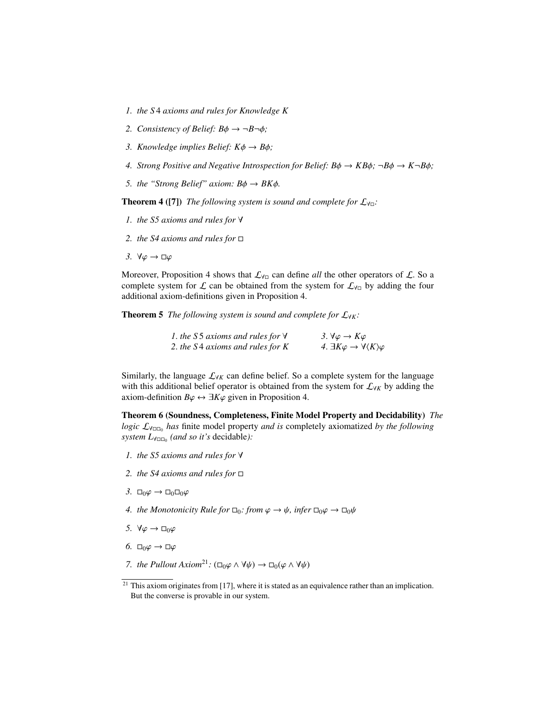- *1. the S* 4 *axioms and rules for Knowledge K*
- 2. *Consistency of Belief:*  $B\phi \rightarrow \neg B \neg \phi$ *;*
- *3. Knowledge implies Belief: K*φ <sup>→</sup> *<sup>B</sup>*φ*;*
- *4. Strong Positive and Negative Introspection for Belief:*  $B\phi \rightarrow KB\phi$ *;*  $\neg B\phi \rightarrow K\neg B\phi$ *;*
- *5. the "Strong Belief" axiom:*  $B\phi \rightarrow BK\phi$ .

**Theorem 4 ([7])** *The following system is sound and complete for*  $\mathcal{L}_{\forall n}$ :

- *1. the S5 axioms and rules for* ∀
- *2. the S4 axioms and rules for*
- *3.*  $\forall \varphi \rightarrow \Box \varphi$

Moreover, Proposition 4 shows that  $\mathcal{L}_{\forall \Box}$  can define *all* the other operators of  $\mathcal{L}$ . So a complete system for  $\mathcal L$  can be obtained from the system for  $\mathcal L_{\forall \Box}$  by adding the four additional axiom-definitions given in Proposition 4.

**Theorem 5** *The following system is sound and complete for*  $\mathcal{L}_{\forall K}$ *:* 

| 1. the S5 axioms and rules for $\forall$ | 3. $\forall \varphi \rightarrow K\varphi$                          |
|------------------------------------------|--------------------------------------------------------------------|
| 2. the S4 axioms and rules for K         | 4. $\exists K\varphi \rightarrow \forall \langle K\rangle \varphi$ |
|                                          |                                                                    |

Similarly, the language  $\mathcal{L}_{\forall K}$  can define belief. So a complete system for the language with this additional belief operator is obtained from the system for L<sup>∀</sup>*<sup>K</sup>* by adding the axiom-definition  $B\varphi \leftrightarrow \exists K\varphi$  given in Proposition 4.

Theorem 6 (Soundness, Completeness, Finite Model Property and Decidability) *The logic*  $\mathcal{L}_{\forall \Box \Box}$  *has* finite model property *and is* completely axiomatized *by the following system L*∀<sup>0</sup> *(and so it's* decidable*):*

- *1. the S5 axioms and rules for* ∀
- *2. the S4 axioms and rules for*
- *3.*  $\Box_0\varphi$  →  $\Box_0\Box_0\varphi$
- *4. the Monotonicity Rule for*  $\Box_0$ *: from*  $\varphi \to \psi$ *, infer*  $\Box_0 \varphi \to \Box_0 \psi$
- *5.*  $\forall \varphi \rightarrow \Box_0 \varphi$
- *6.*  $\square_0 \varphi \rightarrow \square \varphi$
- *7. the Pullout Axiom*<sup>21</sup>*:* ( $\Box_0 \varphi \land \forall \psi$ )  $\rightarrow \Box_0(\varphi \land \forall \psi)$

 $21$  This axiom originates from [17], where it is stated as an equivalence rather than an implication. But the converse is provable in our system.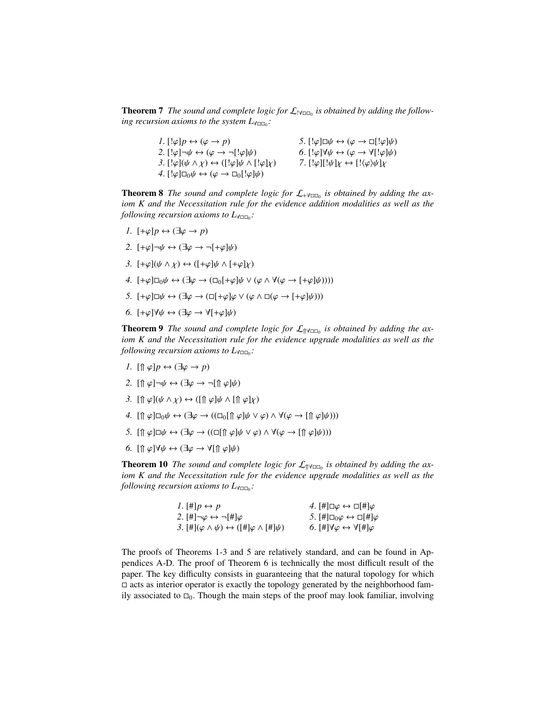**Theorem 7** The sound and complete logic for  $\mathcal{L}_{\text{IVID}}$  is obtained by adding the follow*ing recursion axioms to the system L*<sub>∀□□0</sub>:

| 1. $[\phi]p \leftrightarrow (\varphi \rightarrow p)$                                     | 5. $[\phi] \Box \psi \leftrightarrow (\varphi \rightarrow \Box [\phi] \psi)$       |
|------------------------------------------------------------------------------------------|------------------------------------------------------------------------------------|
| 2. $[\phi] \neg \psi \leftrightarrow (\varphi \rightarrow \neg [\psi] \psi)$             | 6. $[\phi] \forall \psi \leftrightarrow (\varphi \rightarrow \forall [\phi] \psi)$ |
| 3. $[!\varphi](\psi \wedge \chi) \leftrightarrow ([!\varphi]\psi \wedge [!\varphi]\chi)$ | 7. $[\psi](\psi]$ $\rightarrow$ $[\psi](\varphi)\psi]$                             |
| 4. $[\psi] \Box_0 \psi \leftrightarrow (\varphi \rightarrow \Box_0 [\psi] \psi)$         |                                                                                    |
|                                                                                          |                                                                                    |

**Theorem 8** The sound and complete logic for  $\mathcal{L}_{\pm \forall \square \square_0}$  is obtained by adding the ax*iom K and the Necessitation rule for the evidence addition modalities as well as the following recursion axioms to L*<sub>∀□□</sub>.

- *1.*  $[+ \varphi] p \leftrightarrow (\exists \varphi \rightarrow p)$
- 2.  $[+\varphi] \neg \psi \leftrightarrow (\exists \varphi \rightarrow \neg [+\varphi] \psi)$
- *3.*  $[+\varphi](\psi \wedge \chi) \leftrightarrow ([+\varphi]\psi \wedge [+ \varphi]\chi)$
- *4.*  $[+\varphi]\Box_0\psi \leftrightarrow (\exists \varphi \rightarrow (\Box_0[+\varphi]\psi \vee (\varphi \wedge \forall (\varphi \rightarrow [+ \varphi]\psi))))$
- *5.*  $[+\varphi]\Box\psi \leftrightarrow (\exists \varphi \rightarrow (\Box[\pm \varphi]\varphi \vee (\varphi \wedge \Box(\varphi \rightarrow [\pm \varphi]\psi)))$
- *6.*  $[+\varphi]\forall \psi \leftrightarrow (\exists \varphi \rightarrow \forall [\pm \varphi]\psi)$

**Theorem 9** The sound and complete logic for  $\mathcal{L}_{\text{N} \cap \square_0}$  is obtained by adding the ax*iom K and the Necessitation rule for the evidence upgrade modalities as well as the following recursion axioms to L*<sub>∀□□0</sub>:

- *1.*  $[\n{\mathcal{D}} \varphi] p \leftrightarrow (\exists \varphi \rightarrow p)$
- 2.  $[\hat{\mathcal{L}} \varphi] \neg \psi \leftrightarrow (\exists \varphi \rightarrow \neg [\hat{\mathcal{L}} \varphi] \psi)$
- *3.*  $[\n{\uparrow \varphi}](\psi \land \chi) \leftrightarrow ([\n{\uparrow \varphi}]\psi \land [\n{\uparrow \varphi}]\chi)$
- *4.*  $[\hat{\mathcal{L}} \varphi] \Box_0 \psi \leftrightarrow (\exists \varphi \rightarrow ((\Box_0[\hat{\mathcal{L}} \varphi] \psi \vee \varphi) \wedge \forall (\varphi \rightarrow [\hat{\mathcal{L}} \varphi] \psi)))$
- *5.*  $[\hat{\mathcal{L}} \varphi] \Box \psi \leftrightarrow (\exists \varphi \rightarrow ((\Box [\hat{\mathcal{L}} \varphi] \psi \vee \varphi) \wedge \forall (\varphi \rightarrow [\hat{\mathcal{L}} \varphi] \psi)))$
- *6.*  $[\hat{\mathcal{L}} \varphi] \forall \psi \leftrightarrow (\exists \varphi \rightarrow \forall [\hat{\mathcal{L}} \varphi] \psi)$

**Theorem 10** The sound and complete logic for  $\mathcal{L}_{\uparrow \uparrow \uparrow \square \square_0}$  is obtained by adding the ax*iom K and the Necessitation rule for the evidence upgrade modalities as well as the following recursion axioms to L*<sub>∀□□0</sub>:

| 1. $\mathbb{H} p \leftrightarrow p$                                          | 4. $\left[\#\right] \Box \varphi \leftrightarrow \Box \left[\#\right] \varphi$ |
|------------------------------------------------------------------------------|--------------------------------------------------------------------------------|
| 2. $[\#]\neg\varphi \leftrightarrow \neg[\#]\varphi$                         | 5. $[\#]\Box_0\varphi \leftrightarrow \Box[\#]\varphi$                         |
| 3. $[\#](\varphi \wedge \psi) \leftrightarrow ([\#]\varphi \wedge [\#]\psi)$ | 6. [#] $\forall \varphi \leftrightarrow \forall$ [#] $\varphi$                 |
|                                                                              |                                                                                |

The proofs of Theorems 1-3 and 5 are relatively standard, and can be found in Appendices A-D. The proof of Theorem 6 is technically the most difficult result of the paper. The key difficulty consists in guaranteeing that the natural topology for which  $\Box$  acts as interior operator is exactly the topology generated by the neighborhood family associated to  $\square_0$ . Though the main steps of the proof may look familiar, involving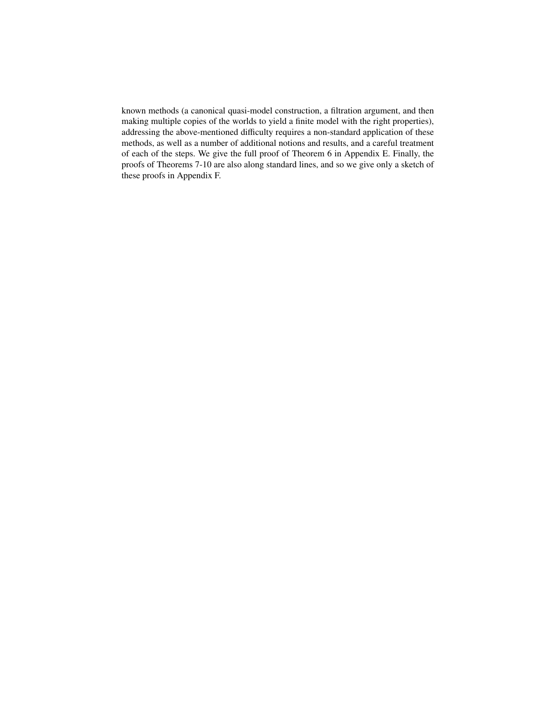known methods (a canonical quasi-model construction, a filtration argument, and then making multiple copies of the worlds to yield a finite model with the right properties), addressing the above-mentioned difficulty requires a non-standard application of these methods, as well as a number of additional notions and results, and a careful treatment of each of the steps. We give the full proof of Theorem 6 in Appendix E. Finally, the proofs of Theorems 7-10 are also along standard lines, and so we give only a sketch of these proofs in Appendix F.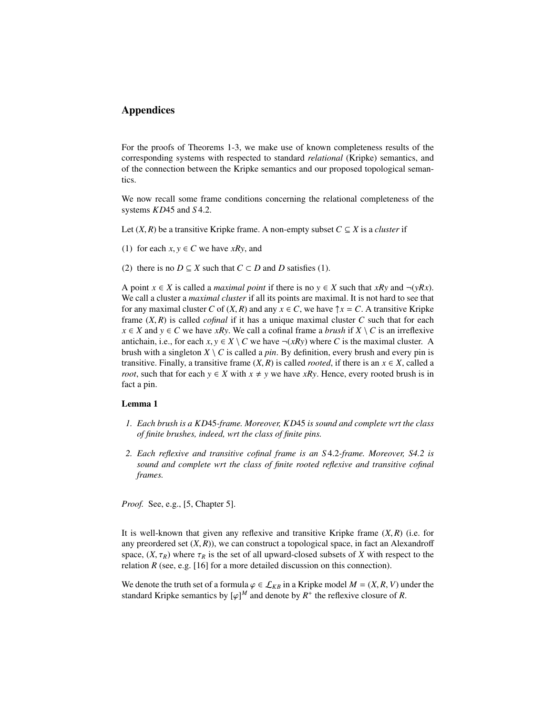# Appendices

For the proofs of Theorems 1-3, we make use of known completeness results of the corresponding systems with respected to standard *relational* (Kripke) semantics, and of the connection between the Kripke semantics and our proposed topological semantics.

We now recall some frame conditions concerning the relational completeness of the systems *KD*45 and *<sup>S</sup>* <sup>4</sup>.2.

- Let  $(X, R)$  be a transitive Kripke frame. A non-empty subset  $C \subseteq X$  is a *cluster* if
- (1) for each  $x, y \in C$  we have *xRy*, and
- (2) there is no  $D \subseteq X$  such that  $C \subset D$  and  $D$  satisfies (1).

A point *x* ∈ *X* is called a *maximal point* if there is no *y* ∈ *X* such that *xRy* and ¬(*yRx*). We call a cluster a *maximal cluster* if all its points are maximal. It is not hard to see that for any maximal cluster *C* of  $(X, R)$  and any  $x \in C$ , we have  $\uparrow x = C$ . A transitive Kripke frame (*X*, *<sup>R</sup>*) is called *cofinal* if it has a unique maximal cluster *<sup>C</sup>* such that for each *x* ∈ *X* and *y* ∈ *C* we have *xRy*. We call a cofinal frame a *brush* if *X* \ *C* is an irreflexive antichain, i.e., for each  $x, y \in X \setminus C$  we have  $\neg(xRy)$  where C is the maximal cluster. A brush with a singleton  $X \setminus C$  is called a *pin*. By definition, every brush and every pin is transitive. Finally, a transitive frame  $(X, R)$  is called *rooted*, if there is an  $x \in X$ , called a *root*, such that for each  $y \in X$  with  $x \neq y$  we have *xRy*. Hence, every rooted brush is in fact a pin.

### Lemma 1

- *1. Each brush is a KD*45*-frame. Moreover, KD*45 *is sound and complete wrt the class of finite brushes, indeed, wrt the class of finite pins.*
- *2. Each reflexive and transitive cofinal frame is an S* <sup>4</sup>.2*-frame. Moreover, S4.2 is sound and complete wrt the class of finite rooted reflexive and transitive cofinal frames.*

*Proof.* See, e.g., [5, Chapter 5].

It is well-known that given any reflexive and transitive Kripke frame (*X*, *<sup>R</sup>*) (i.e. for any preordered set  $(X, R)$ ), we can construct a topological space, in fact an Alexandroff space,  $(X, \tau_R)$  where  $\tau_R$  is the set of all upward-closed subsets of X with respect to the relation  $R$  (see, e.g. [16] for a more detailed discussion on this connection).

We denote the truth set of a formula  $\varphi \in \mathcal{L}_{KB}$  in a Kripke model  $M = (X, R, V)$  under the standard Kripke semantics by  $[\varphi]^M$  and denote by  $R^+$  the reflexive closure of R.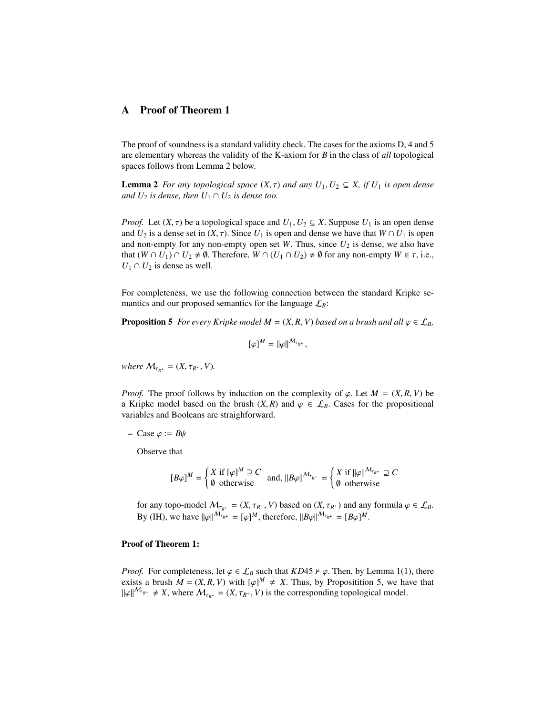# A Proof of Theorem 1

The proof of soundness is a standard validity check. The cases for the axioms D, 4 and 5 are elementary whereas the validity of the K-axiom for *B* in the class of *all* topological spaces follows from Lemma 2 below.

**Lemma 2** *For any topological space*  $(X, \tau)$  *and any*  $U_1, U_2 \subseteq X$ *, if*  $U_1$  *is open dense and*  $U_2$  *is dense, then*  $U_1 \cap U_2$  *is dense too.* 

*Proof.* Let  $(X, \tau)$  be a topological space and  $U_1, U_2 \subseteq X$ . Suppose  $U_1$  is an open dense and  $U_2$  is a dense set in  $(X, \tau)$ . Since  $U_1$  is open and dense we have that  $W \cap U_1$  is open and non-empty for any non-empty open set  $W$ . Thus, since  $U_2$  is dense, we also have that  $(W \cap U_1) \cap U_2 \neq \emptyset$ . Therefore,  $W \cap (U_1 \cap U_2) \neq \emptyset$  for any non-empty  $W \in \tau$ , i.e.,  $U_1 \cap U_2$  is dense as well.

For completeness, we use the following connection between the standard Kripke semantics and our proposed semantics for the language  $\mathcal{L}_B$ :

**Proposition 5** *For every Kripke model M* =  $(X, R, V)$  *based on a brush and all*  $\varphi \in \mathcal{L}_B$ *,* 

$$
[\varphi]^M = ||\varphi||^{\mathcal{M}_{\tau_{R^+}}},
$$

*where*  $M_{\tau_{P^+}} = (X, \tau_{R^+}, V)$ .

*Proof.* The proof follows by induction on the complexity of  $\varphi$ . Let  $M = (X, R, V)$  be a Kripke model based on the brush  $(X, R)$  and  $\varphi \in \mathcal{L}_B$ . Cases for the propositional variables and Booleans are straighforward.

– Case  $\varphi := B\psi$ 

Observe that

$$
[B\varphi]^M = \begin{cases} X \text{ if } [\varphi]^M \supseteq C \\ \emptyset \text{ otherwise} \end{cases} \text{ and, } ||B\varphi||^{M_{\tau_{R^+}}} = \begin{cases} X \text{ if } ||\varphi||^{M_{\tau_{R^+}}} \supseteq C \\ \emptyset \text{ otherwise} \end{cases}
$$

for any topo-model  $M_{\tau_{R^+}} = (X, \tau_{R^+}, V)$  based on  $(X, \tau_{R^+})$  and any formula  $\varphi \in \mathcal{L}_B$ . By (IH), we have  $\|\varphi\|^{M_{\tau_{R^+}}} = [\varphi]^M$ , therefore,  $\|B\varphi\|^{M_{\tau_{R^+}}} = [B\varphi]^M$ .

#### Proof of Theorem 1:

*Proof.* For completeness, let  $\varphi \in \mathcal{L}_B$  such that *KD*45  $\nu \varphi$ . Then, by Lemma 1(1), there exists a brush  $\overline{M} = (X, R, V)$  with  $[\varphi]^M \neq X$ . Thus, by Propositition 5, we have that  $[\psi]^{M_{\tau_{pt}}} \neq Y$  where  $M = (X, \tau_{\infty}, V)$  is the corresponding topological model  $\|\varphi\|^{M_{\tau_{R^+}}} \neq X$ , where  $M_{\tau_{R^+}} = (X, \tau_{R^+}, V)$  is the corresponding topological model.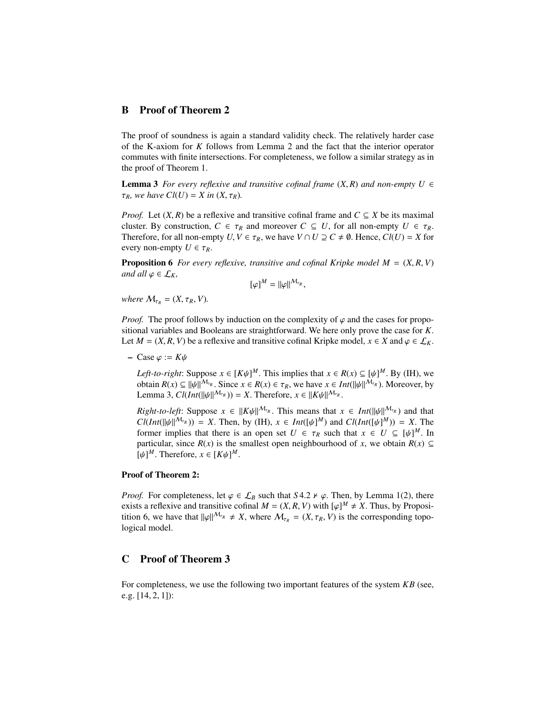## B Proof of Theorem 2

The proof of soundness is again a standard validity check. The relatively harder case of the K-axiom for *K* follows from Lemma 2 and the fact that the interior operator commutes with finite intersections. For completeness, we follow a similar strategy as in the proof of Theorem 1.

**Lemma 3** *For every reflexive and transitive cofinal frame*  $(X, R)$  *and non-empty*  $U \in$  $\tau_R$ *, we have*  $Cl(U) = X$  *in*  $(X, \tau_R)$ *.* 

*Proof.* Let  $(X, R)$  be a reflexive and transitive cofinal frame and  $C \subseteq X$  be its maximal cluster. By construction,  $C \in \tau_R$  and moreover  $C \subseteq U$ , for all non-empty  $U \in \tau_R$ . Therefore, for all non-empty  $U, V \in \tau_R$ , we have  $V \cap U \supseteq C \neq \emptyset$ . Hence,  $Cl(U) = X$  for every non-empty  $U \in \tau_R$ .

**Proposition 6** *For every reflexive, transitive and cofinal Kripke model*  $M = (X, R, V)$ *and all*  $\varphi \in \mathcal{L}_K$ *,* 

$$
[\varphi]^M = ||\varphi||^{\mathcal{M}_{\tau_R}},
$$

*where*  $M_{\tau_R} = (X, \tau_R, V)$ .

*Proof.* The proof follows by induction on the complexity of  $\varphi$  and the cases for propositional variables and Booleans are straightforward. We here only prove the case for *K*. Let  $M = (X, R, V)$  be a reflexive and transitive cofinal Kripke model,  $x \in X$  and  $\varphi \in \mathcal{L}_K$ .

– Case ϕ :<sup>=</sup> *<sup>K</sup>*ψ

*Left-to-right*: Suppose  $x \in [K\psi]^M$ . This implies that  $x \in R(x) \subseteq [\psi]^M$ . By (IH), we obtain  $R(x) \subset |u/d|^{M_{\tau_R}}$ . Since  $x \in R(x) \subseteq \tau_R$ , we have  $x \in Int(|u/d^{M_{\tau_R}})$ . Moreover, by obtain  $R(x) \subseteq ||\psi||^{M_{\tau_R}}$ . Since  $x \in R(x) \in \tau_R$ , we have  $x \in Int(||\psi||^{M_{\tau_R}})$ . Moreover, by Lemma 3,  $Cl(int(||\psi||^{M_{\tau_R}})) = X$ . Therefore,  $x \in ||K\psi||^{M_{\tau_R}}$ .

*Right-to-left*: Suppose  $x \in ||K\psi||^{M_{\tau_R}}$ . This means that  $x \in Int(||\psi||^{M_{\tau_R}})$  and that *Cl*(*Int*( $\|\psi\|^{M_{\tau_R}}$ )) = *X*. Then, by (IH),  $x \in Int([\psi]^M)$  and  $Cl(int([\psi]^M)) = X$ . The former implies that there is an open set  $U \in \tau_R$  such that  $x \in U \subseteq [h]^M$ . In former implies that there is an open set  $U \in \tau_R$  such that  $x \in U \subseteq [\psi]^M$ . In particular, since  $R(x)$  is the smallest open peighbourhood of *x*, we obtain  $R(x) \subset$ particular, since *R*(*x*) is the smallest open neighbourhood of *x*, we obtain *R*(*x*) ⊆  $[\psi]^M$ . Therefore,  $x \in [K\psi]^M$ .

### Proof of Theorem 2:

*Proof.* For completeness, let  $\varphi \in \mathcal{L}_B$  such that *S* 4.2  $\nu \varphi$ . Then, by Lemma 1(2), there exists a reflexive and transitive cofinal  $M = (X, R, V)$  with  $[\varphi]^M \neq X$ . Thus, by Proposition 6, we have that  $||\varphi||^{M_{\tau_\mathcal{B}}} \neq X$  where  $M = (X, \tau_\mathcal{B}, V)$  is the corresponding topotition 6, we have that  $\|\varphi\|^{M_{\tau_R}} \neq X$ , where  $M_{\tau_R} = (X, \tau_R, V)$  is the corresponding topological model.

### C Proof of Theorem 3

For completeness, we use the following two important features of the system *KB* (see, e.g. [14, 2, 1]):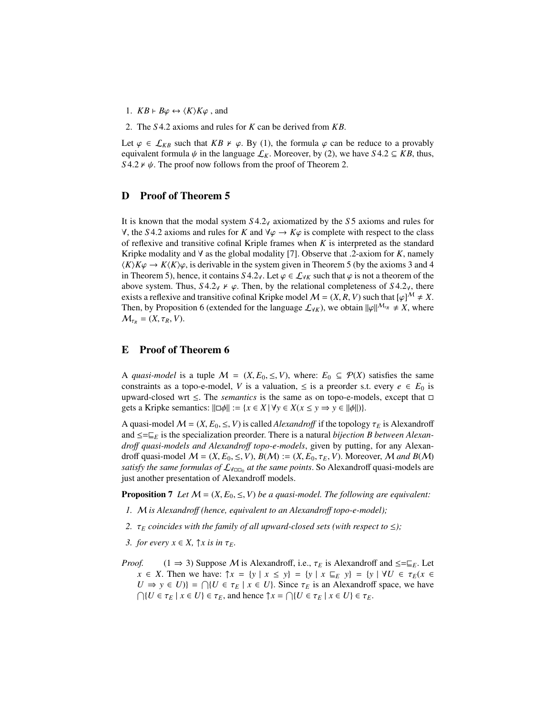- 1.  $KB \vdash B\varphi \leftrightarrow \langle K \rangle K\varphi$ , and
- 2. The *<sup>S</sup>* <sup>4</sup>.2 axioms and rules for *<sup>K</sup>* can be derived from *KB*.

Let  $\varphi \in \mathcal{L}_{KB}$  such that *KB*  $\nu \varphi$ . By (1), the formula  $\varphi$  can be reduce to a provably equivalent formula  $\psi$  in the language  $\mathcal{L}_K$ . Moreover, by (2), we have *S* 4.2  $\subseteq$  *KB*, thus, *S* 4.2  $\nu$   $\psi$ . The proof now follows from the proof of Theorem 2.

### D Proof of Theorem 5

It is known that the modal system *<sup>S</sup>* <sup>4</sup>.2<sup>∀</sup> axiomatized by the *<sup>S</sup>* 5 axioms and rules for  $\forall$ , the *S* 4.2 axioms and rules for *K* and  $\forall \varphi$  →  $K\varphi$  is complete with respect to the class of reflexive and transitive cofinal Kriple frames when *K* is interpreted as the standard Kripke modality and  $\forall$  as the global modality [7]. Observe that .2-axiom for *K*, namely  $\langle K \rangle K \varphi \to K \langle K \rangle \varphi$ , is derivable in the system given in Theorem 5 (by the axioms 3 and 4 in Theorem 5), hence, it contains  $S$  4.2 $\gamma$ . Let  $\varphi \in \mathcal{L}_{\gamma K}$  such that  $\varphi$  is not a theorem of the above system. Thus,  $S4.2\gamma \nvdash \varphi$ . Then, by the relational completeness of  $S4.2\gamma$ , there exists a reflexive and transitive cofinal Kripke model  $M = (X, R, V)$  such that  $[\varphi]^M \neq X$ . Then, by Proposition 6 (extended for the language  $\mathcal{L}_{\forall K}$ ), we obtain  $\|\varphi\|^{M_{\tau_R}} \neq X$ , where  $M_{\tau_R} = (X, \tau_R, V).$ 

### E Proof of Theorem 6

A *quasi-model* is a tuple  $M = (X, E_0, \le, V)$ , where:  $E_0 \subseteq \mathcal{P}(X)$  satisfies the same constraints as a topo-e-model, *V* is a valuation,  $\leq$  is a preorder s.t. every  $e \in E_0$  is upward-closed wrt ≤. The *semantics* is the same as on topo-e-models, except that gets a Kripke semantics:  $\|\Box \phi\| := \{x \in X \mid \forall y \in X \land (x \leq y \Rightarrow y \in ||\phi||)\}.$ 

A quasi-model  $M = (X, E_0, \leq, V)$  is called *Alexandroff* if the topology  $\tau_E$  is Alexandroff and  $\leq=\sqsubseteq_E$  is the specialization preorder. There is a natural *bijection B between Alexandro*ff *quasi-models and Alexandro*ff *topo-e-models*, given by putting, for any Alexandroff quasi-model  $M = (X, E_0, \le, V), B(M) := (X, E_0, \tau_E, V)$ . Moreover, M and  $B(M)$ *satisfy the same formulas of*  $\mathcal{L}_{\forall \Box \Box_0}$  *at the same points.* So Alexandroff quasi-models are just another presentation of Alexandroff models.

**Proposition 7** Let  $M = (X, E_0, \leq, V)$  be a quasi-model. The following are equivalent:

- *1.* M *is Alexandro*ff *(hence, equivalent to an Alexandro*ff *topo-e-model);*
- *2.*  $\tau_E$  *coincides with the family of all upward-closed sets (with respect to*  $\leq$ *);*
- *3. for every*  $x \in X$ ,  $\uparrow x$  *is in*  $\tau_F$ *.*
- *Proof.* (1  $\Rightarrow$  3) Suppose M is Alexandroff, i.e.,  $\tau_E$  is Alexandroff and  $\leq=\subseteq_E$ . Let *x* ∈ *X*. Then we have:  $\uparrow x = \{y \mid x \le y\} = \{y \mid x \sqsubseteq_E y\} = \{y \mid \forall U \in \tau_E(x \in \mathbb{R})\}$  $U \Rightarrow y \in U$ } =  $\bigcap \{U \in \tau_E \mid x \in U\}$ . Since  $\tau_E$  is an Alexandroff space, we have  $\bigcap U \in \tau_E \mid x \in U$ }  $\in \tau_E$  and hence  $\uparrow x = \bigcap U \in \tau_E \mid x \in U$ }  $\in \tau_E$  $\bigcap \{ U \in \tau_E \mid x \in U \} \in \tau_E$ , and hence  $\uparrow x = \bigcap \{ U \in \tau_E \mid x \in U \} \in \tau_E$ .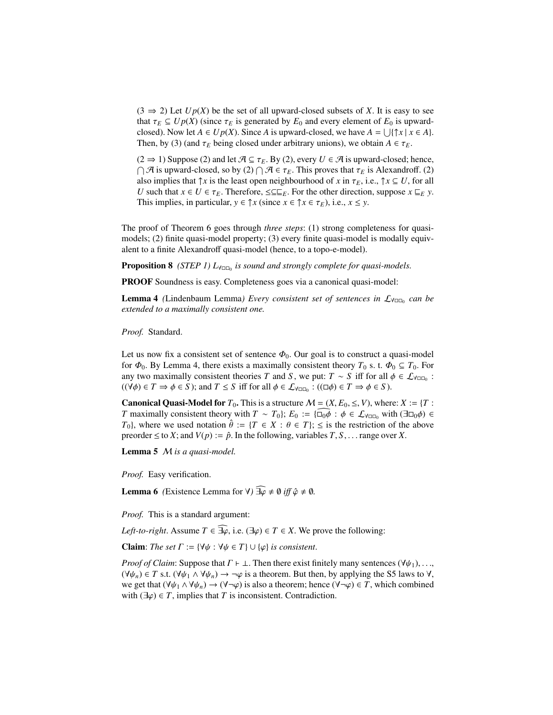$(3 \Rightarrow 2)$  Let  $Up(X)$  be the set of all upward-closed subsets of X. It is easy to see that  $\tau_E \subseteq Up(X)$  (since  $\tau_E$  is generated by  $E_0$  and every element of  $E_0$  is upwardclosed). Now let  $A \in Up(X)$ . Since *A* is upward-closed, we have  $A = \bigcup \{ \uparrow x \mid x \in A \}.$ Then, by (3) (and  $\tau_E$  being closed under arbitrary unions), we obtain  $A \in \tau_E$ .

 $(2 \Rightarrow 1)$  Suppose (2) and let  $\mathcal{A} \subseteq \tau_E$ . By (2), every  $U \in \mathcal{A}$  is upward-closed; hence,  $\bigcap \mathcal{A}$  is upward-closed, so by (2)  $\bigcap \mathcal{A} \in \tau_E$ . This proves that  $\tau_E$  is Alexandroff. (2) also implies that  $\uparrow$  *x* is the least open peighbourhood of *x* in  $\tau_E$  i.e.  $\uparrow$  *x*  $\subset U$  for all also implies that  $\uparrow x$  is the least open neighbourhood of *x* in  $\tau_E$ , i.e.,  $\uparrow x \subseteq U$ , for all *U* such that  $x \in U \in \tau_E$ . Therefore,  $\leq \subseteq E$ . For the other direction, suppose  $x \subseteq_E y$ . This implies, in particular,  $y \in \int x (\text{since } x \in \int x \in \tau_E)$ , i.e.,  $x \leq y$ .

The proof of Theorem 6 goes through *three steps*: (1) strong completeness for quasimodels; (2) finite quasi-model property; (3) every finite quasi-model is modally equivalent to a finite Alexandroff quasi-model (hence, to a topo-e-model).

Proposition 8 *(STEP 1)* L<sub>∀□□</sub> *is sound and strongly complete for quasi-models.* 

PROOF Soundness is easy. Completeness goes via a canonical quasi-model:

**Lemma 4** (Lindenbaum Lemma) Every consistent set of sentences in  $\mathcal{L}_{\forall \Box \Box}$  can be *extended to a maximally consistent one.*

*Proof.* Standard.

Let us now fix a consistent set of sentence  $\Phi_0$ . Our goal is to construct a quasi-model for  $\Phi_0$ . By Lemma 4, there exists a maximally consistent theory  $T_0$  s. t.  $\Phi_0 \subseteq T_0$ . For any two maximally consistent theories *T* and *S*, we put:  $T \sim S$  iff for all  $\phi \in \mathcal{L}_{\forall \Box \Box}$ :<br> $((\forall \phi) \in T \rightarrow \phi \in S)$ : and  $T \le S$  iff for all  $\phi \in \mathcal{L}_{\forall \Box \Box}$ :  $((\Box \phi) \in T \rightarrow \phi \in S)$  $((\forall \phi) \in T \Rightarrow \phi \in S)$ ; and  $T \leq S$  iff for all  $\phi \in \mathcal{L}_{\forall \Box \Box_0}$ :  $((\Box \phi) \in T \Rightarrow \phi \in S)$ .

**Canonical Quasi-Model for**  $T_0$ . This is a structure  $M = (X, E_0, \leq, V)$ , where:  $X := \{T :$ *T* maximally consistent theory with  $T \sim T_0$ ;  $E_0 := {\overline{\cup}}_0 \overline{\phi} : \phi \in \mathcal{L}_{\forall \square_0}$  with  $(\exists \square_0 \phi) \in$ *T*<sub>0</sub>}, where we used notation  $\hat{\theta} := \{T \in X : \theta \in T\}$ ;  $\leq$  is the restriction of the above preorder  $\leq$  to *X*; and *V*(*p*) :=  $\hat{p}$ . In the following, variables *T*, *S*, . . . range over *X*.

Lemma 5 M *is a quasi-model.*

*Proof.* Easy verification.

**Lemma 6** *(Existence Lemma for*  $\forall$ *)*  $\widehat{\exists \varphi} \neq \emptyset$  *iff*  $\hat{\varphi} \neq \emptyset$ .

*Proof.* This is a standard argument:

*Left-to-right*. Assume  $T \in \widehat{\exists \varphi}$ , i.e.  $(\exists \varphi) \in T \in X$ . We prove the following:

**Claim:** *The set*  $\Gamma := \{ \forall \psi : \forall \psi \in T \} \cup \{ \varphi \}$  *is consistent.* 

*Proof of Claim*: Suppose that  $\Gamma \vdash \bot$ . Then there exist finitely many sentences ( $\forall \psi_1, \ldots,$  $(\forall \psi_n) \in T$  s.t.  $(\forall \psi_1 \land \forall \psi_n) \to \neg \varphi$  is a theorem. But then, by applying the S5 laws to  $\forall$ , we get that  $(\forall \psi_1 \land \forall \psi_n) \to (\forall \neg \varphi)$  is also a theorem; hence  $(\forall \neg \varphi) \in T$ , which combined with  $(\exists \varphi) \in T$ , implies that *T* is inconsistent. Contradiction.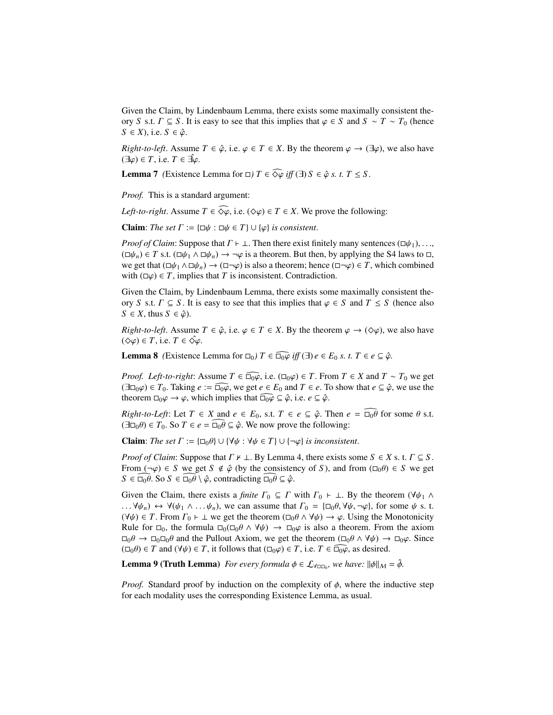Given the Claim, by Lindenbaum Lemma, there exists some maximally consistent theory *S* s.t.  $\Gamma \subseteq S$ . It is easy to see that this implies that  $\varphi \in S$  and  $S \sim T \sim T_0$  (hence *S* ∈ *X*), i.e. *S* ∈  $\hat{\varphi}$ .

*Right-to-left*. Assume  $T \in \hat{\varphi}$ , i.e.  $\varphi \in T \in X$ . By the theorem  $\varphi \to (\exists \varphi)$ , we also have  $(\exists \varphi) \in T$ , i.e.  $T \in \exists \varphi$ .

**Lemma 7** *(Existence Lemma for*  $\Box$ *)*  $T \in \widehat{\diamond \varphi}$  *iff (* $\exists$ )  $S \in \hat{\varphi}$  *s. t.*  $T \leq S$ .

*Proof.* This is a standard argument:

*Left-to-right*. Assume  $T \in \widehat{\diamond \varphi}$ , i.e.  $(\diamond \varphi) \in T \in X$ . We prove the following:

**Claim**: *The set*  $\Gamma := {\varphi \in \Pi} \cup {\varphi}$  *is consistent.* 

*Proof of Claim*: Suppose that  $\Gamma \vdash \bot$ . Then there exist finitely many sentences ( $\Box \psi_1$ ), ...,  $(\Box \psi_n) \in T$  s.t.  $(\Box \psi_1 \land \Box \psi_n) \to \neg \varphi$  is a theorem. But then, by applying the S4 laws to  $\Box$ , we get that  $(\Box \psi_1 \land \Box \psi_n) \to (\Box \neg \varphi)$  is also a theorem; hence  $(\Box \neg \varphi) \in T$ , which combined with  $(\Box \varphi) \in T$ , implies that *T* is inconsistent. Contradiction.

Given the Claim, by Lindenbaum Lemma, there exists some maximally consistent theory *S* s.t.  $\Gamma \subseteq S$ . It is easy to see that this implies that  $\varphi \in S$  and  $T \leq S$  (hence also  $S \in X$ , thus  $S \in \hat{\varphi}$ ).

*Right-to-left*. Assume  $T \in \hat{\varphi}$ , i.e.  $\varphi \in T \in X$ . By the theorem  $\varphi \to (\Diamond \varphi)$ , we also have  $(\diamond \varphi) \in T$ , i.e.  $T \in \diamond \varphi$ .

**Lemma 8** *(Existence Lemma for*  $\square_0$ *)*  $T \in \widehat{\square_0 \varphi}$  *iff*  $(\exists)$  *e*  $\in E_0$  *s. t.*  $T \in e \subseteq \hat{\varphi}$ .

*Proof. Left-to-right*: Assume  $T \in \widehat{d_0\varphi}$ , i.e.  $(\Box_0\varphi) \in T$ . From  $T \in X$  and  $T \sim T_0$  we get  $(\exists \Box_0 \varphi) \in T_0$ . Taking  $e := \widehat{\Box_0 \varphi}$ , we get  $e \in E_0$  and  $T \in e$ . To show that  $e \subseteq \hat{\varphi}$ , we use the theorem  $\Box_0\varphi \to \varphi$ , which implies that  $\widehat{\Box_0\varphi} \subseteq \hat{\varphi}$ , i.e.  $e \subseteq \hat{\varphi}$ .

*Right-to-Left*: Let  $T \in X$  and  $e \in E_0$ , s.t.  $T \in e \subseteq \hat{\varphi}$ . Then  $e = \overline{\Box_0 \theta}$  for some  $\theta$  s.t.  $(\exists \Box_0 \theta) \in T_0$ . So  $T \in e = \Box_0 \theta \subseteq \hat{\varphi}$ . We now prove the following:

**Claim:** *The set*  $\Gamma := {\square_0 \theta} \cup {\forall \psi : \forall \psi \in T} \cup {\neg \varphi}$  *is inconsistent.* 

*Proof of Claim:* Suppose that  $\Gamma \nvdash \bot$ . By Lemma 4, there exists some  $S \in X$  s. t.  $\Gamma \subseteq S$ . From  $(\neg \varphi) \in S$  we get  $S \notin \hat{\varphi}$  (by the consistency of *S*), and from  $(\Box_0 \theta) \in S$  we get  $S \in \Box_0 \theta$ . So  $S \in \Box_0 \theta \setminus \hat{\varphi}$ , contradicting  $\Box_0 \theta \subseteq \hat{\varphi}$ .

Given the Claim, there exists a *finite*  $\Gamma_0 \subseteq \Gamma$  with  $\Gamma_0 \vdash \bot$ . By the theorem ( $\forall \psi_1 \land \bot$ ) ...  $\forall \psi_n$   $\leftrightarrow$   $\forall (\psi_1 \land ... \psi_n)$ , we can assume that  $\Gamma_0 = {\Box_0 \theta, \forall \psi, \neg \varphi}$ , for some  $\psi$  s. t.  $(\forall \psi) \in T$ . From  $\Gamma_0 \vdash \bot$  we get the theorem  $(\Box_0 \theta \land \forall \psi) \rightarrow \varphi$ . Using the Monotonicity Rule for  $\Box_0$ , the formula  $\Box_0(\Box_0 \theta \land \forall \psi) \rightarrow \Box_0 \varphi$  is also a theorem. From the axiom  $\Box_0 \theta \to \Box_0 \Box_0 \theta$  and the Pullout Axiom, we get the theorem  $(\Box_0 \theta \land \forall \psi) \to \Box_0 \varphi$ . Since  $(\Box_0 \theta) \in T$  and  $(\forall \psi) \in T$ , it follows that  $(\Box_0 \varphi) \in T$ , i.e.  $T \in \widehat{\Box_0 \varphi}$ , as desired.

**Lemma 9 (Truth Lemma)** *For every formula*  $\phi \in \mathcal{L}_{\forall \Box \Box_0}$ *, we have:*  $\|\phi\|_{\mathcal{M}} = \hat{\phi}$ *.* 

*Proof.* Standard proof by induction on the complexity of  $\phi$ , where the inductive step for each modality uses the corresponding Existence Lemma, as usual.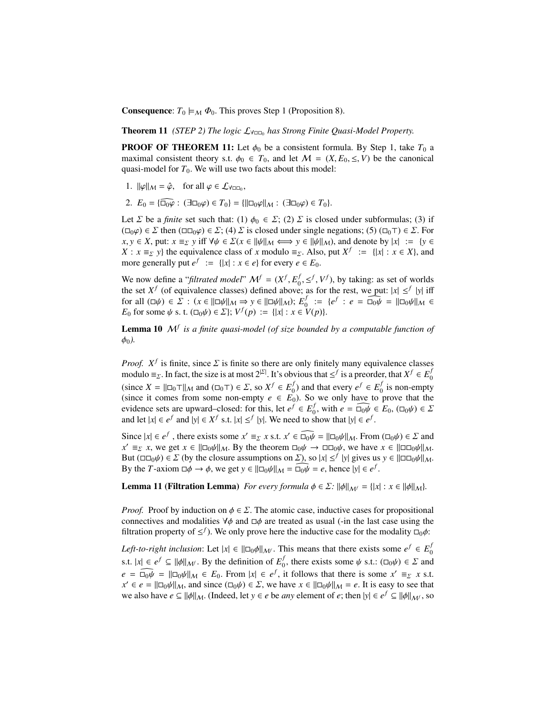**Consequence:**  $T_0 \models_M \Phi_0$ . This proves Step 1 (Proposition 8).

**Theorem 11** *(STEP 2)* The logic  $\mathcal{L}_{\forall \Box 0}$  has Strong Finite Quasi-Model Property.

**PROOF OF THEOREM 11:** Let  $\phi_0$  be a consistent formula. By Step 1, take  $T_0$  a maximal consistent theory s.t.  $\phi_0 \in T_0$ , and let  $M = (X, E_0, \le, V)$  be the canonical quasi-model for  $T_0$ . We will use two facts about this model:

- 1.  $\|\varphi\|_{\mathcal{M}} = \hat{\varphi}$ , for all  $\varphi \in \mathcal{L}_{\forall \square \square_0}$ ,
- 2.  $E_0 = {\widehat{\Box_0 \varphi}}$ :  $(\exists \Box_0 \varphi) \in T_0$  =  ${\{\|\Box_0 \varphi\|_{\mathcal{M}}}$ :  $(\exists \Box_0 \varphi) \in T_0$ .

Let  $\Sigma$  be a *finite* set such that: (1)  $\phi_0 \in \Sigma$ ; (2)  $\Sigma$  is closed under subformulas; (3) if  $(\Box_0 \varphi) \in \Sigma$  then  $(\Box \Box_0 \varphi) \in \Sigma$ ; (4)  $\Sigma$  is closed under single negations; (5)  $(\Box_0 \top) \in \Sigma$ . For *x*, *y* ∈ *X*, put:  $x \equiv_{\Sigma} y$  iff  $\forall \psi \in \Sigma$ ( $x \in ||\psi||_M$   $\iff$   $y \in ||\psi||_M$ ), and denote by  $|x| := \{y \in$ *X* : *x* ≡ *z y*} the equivalence class of *x* modulo ≡ *z*. Also, put  $X^f := \{ |x| : x \in X \}$ , and more generally put  $e^f := \{ |x| : x \in e \}$  for every  $e \in E_0$ .

We now define a "*filtrated model*"  $\mathcal{M}^f = (X^f, E^f)$ <br>the set  $X^f$  (of equivalence classes) defined above  $\int_0^f$ ,  $\leq^f$ ,  $V^f$ ), by taking: as set of worlds<br>at as for the rest, we put:  $|x| \leq^f$  by iff the set  $X^f$  (of equivalence classes) defined above; as for the rest, we put:  $|x| \leq^f |y|$  iff for all  $(\Box \psi) \in \Sigma : (x \in ||\Box \psi||_{\mathcal{M}} \Rightarrow y \in ||\Box \psi||_{\mathcal{M}}); E^f_{\psi}$ <br>*E<sub>c</sub>* for some  $\psi$  s t  $(\Box \psi) \in \Sigma : V^f(\Omega) := |x| : x \in \mathcal{X}$  $\begin{array}{l} f \\ 0 \\ V(n) \end{array} := \{ e^f : e = \widehat{\Box_0 \psi} = ||\Box_0 \psi||_M \in V(n) \}$ *E*<sub>0</sub> for some  $\psi$  s. t.  $(\Box_0 \psi) \in \Sigma$ ;  $V^f(p) := \{ |x| : x \in V(p) \}.$ 

Lemma 10 M*<sup>f</sup> is a finite quasi-model (of size bounded by a computable function of*  $\phi_0$ ).

*Proof.*  $X^f$  is finite, since  $\Sigma$  is finite so there are only finitely many equivalence classes modulo  $\equiv_{\Sigma} \ln$  fact, the size is at most  $2^{|\Sigma|}$ . It's obvious that  $\leq f$  is a preorder, that  $X^f \subseteq E^f$ modulo  $\equiv_{\Sigma}$ . In fact, the size is at most  $2^{|\Sigma|}$ . It's obvious that  $\leq^f$  is a preorder, that  $X^f \in E_0^f$ 0 (since  $X = ||\Box_0 \top||_M$  and  $(\Box_0 \top) \in \Sigma$ , so  $X^f \in E^f$ <br>(since it comes from some non-empty  $e \in E^f$  $\binom{f}{0}$  and that every  $e^f \in E_0^f$  $\frac{J}{0}$  is non-empty (since it comes from some non-empty  $e \in E_0$ ). So we only have to prove that the evidence sets are upward–closed: for this, let  $e^f \in E_0^f$ <sup>f</sup><sub>0</sub>, with  $e = \widehat{\Box_0 \psi} \in E_0$ ,  $(\Box_0 \psi) \in \Sigma$ <br>show that  $|\psi| \in e^f$ and let  $|x| \in e^f$  and  $|y| \in X^f$  s.t.  $|x| \leq^f |y|$ . We need to show that  $|y| \in e^f$ .

Since  $|x| \in e^f$ , there exists some  $x' \equiv_{\Sigma} x$  s.t.  $x' \in \widehat{\Box_0 \psi} = ||\Box_0 \psi||_M$ . From  $(\Box_0 \psi) \in \Sigma$  and  $x' \equiv_{\Sigma} x$  we get  $x \in ||\Box_0 \psi||_M$ . By the theorem  $\Box_0 \psi \rightarrow \Box \Box_0 \psi$  we have  $x \in ||\Box \Box_0 \psi||_M$ . *x*'  $\equiv_{\Sigma}$  *x*, we get *x* ∈  $\|\Box_0 \psi\|_M$ . By the theorem  $\Box_0 \psi \rightarrow \Box \Box_0 \psi$ , we have *x* ∈  $\|\Box \Box_0 \psi\|_M$ .<br>But ( $\Box \Box_2 \psi$ ) ∈ *Σ* (by the closure assumptions on *Σ*) so |x| <*f* |y| gives us y ∈ || $\Box \Box_2 \psi$ || But  $(\Box \Box_0 \psi) \in \Sigma$  (by the closure assumptions on  $\Sigma$ ), so  $|x| \leq^f |y|$  gives us  $y \in ||\Box \Box_0 \psi||_M$ .<br>By the *T*-axiom  $\Box \phi \rightarrow \phi$ , we get  $y \in ||\Box_0 \psi||_M = \Box_0 \psi = e$ , hence  $|y| \in e^f$ By the *T*-axiom  $\Box \phi \rightarrow \phi$ , we get  $y \in ||\Box_0 \psi||_{\mathcal{M}} = \Box_0 \overline{\psi} = e$ , hence  $|y| \in e^f$ .

**Lemma 11 (Filtration Lemma)** *For every formula*  $\phi \in \Sigma$ :  $\|\phi\|_{\mathcal{M}} = \{|x| : x \in \|\phi\|_{\mathcal{M}}\}.$ 

*Proof.* Proof by induction on  $\phi \in \Sigma$ . The atomic case, inductive cases for propositional connectives and modalities  $\forall \phi$  and  $\Box \phi$  are treated as usual (-in the last case using the filtration property of  $\leq^f$ ). We only prove here the inductive case for the modality  $\Box_0 \phi$ :

*Left-to-right inclusion*: Let  $|x| \in ||\Box_0\phi||_{\mathcal{M}}$ . This means that there exists some  $e^f \in E_0^f$ 0 s.t.  $|x| \in e^f \subseteq ||\phi||_{\mathcal{M}^f}$ . By the definition of  $E_0^f$ f, there exists some  $\psi$  s.t.:  $(\Box_0 \psi) \in \Sigma$  and  $e = \widehat{\log \psi} = ||\Box_0 \psi||_{\mathcal{M}} \in E_0$ . From  $|x| \in e^f$ , it follows that there is some  $x' \equiv_{\Sigma} x$  s.t.<br>  $x' \in e = ||\Box_0 \psi||_{\mathcal{M}}$  and since  $(\Box_0 \psi) \in \Sigma$  we have  $x \in ||\Box_0 \psi||_{\mathcal{M}} = e$ . It is easy to see that  $x' \in e = ||\Box_0 \psi||_M$ , and since  $(\Box_0 \psi) \in \Sigma$ , we have  $x \in ||\Box_0 \psi||_M = e$ . It is easy to see that we also have  $e \subseteq ||\phi||_M$ . (Indeed let  $y \in e$  be any element of  $e$ ; then  $|y| \in e^{\int_C ||\phi||}$  is so we also have  $e \subseteq ||\phi||_M$ . (Indeed, let  $y \in e$  be *any* element of  $e$ ; then  $|y| \in e^f \subseteq ||\phi||_M$ , so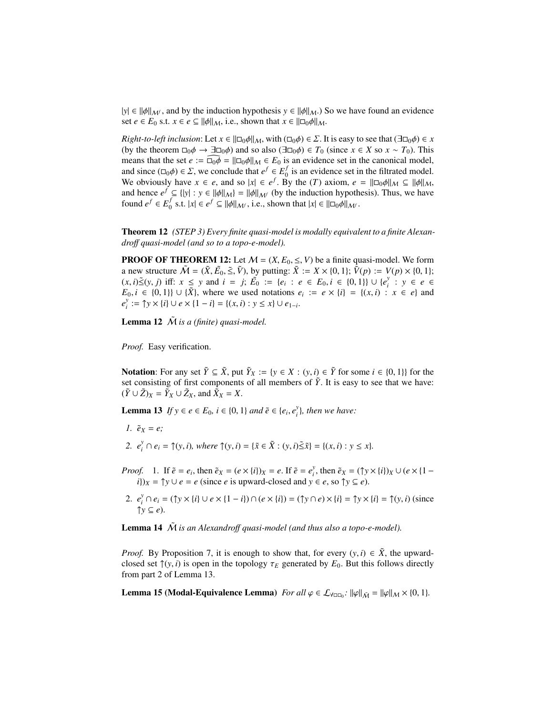$|y| \in ||\phi||_{\mathcal{M}}$ , and by the induction hypothesis  $y \in ||\phi||_{\mathcal{M}}$ .) So we have found an evidence set  $e \in E_0$  s.t.  $x \in e \subseteq ||\phi||_{\mathcal{M}}$ , i.e., shown that  $x \in ||\Box_0\phi||_{\mathcal{M}}$ .

*Right-to-left inclusion*: Let  $x \in ||\Box_0 \phi||_M$ , with  $(\Box_0 \phi) \in \Sigma$ . It is easy to see that  $(\exists \Box_0 \phi) \in x$ (by the theorem  $\Box_0 \phi \to \Box \Box_0 \phi$ ) and so also ( $\Box \Box_0 \phi$ )  $\in T_0$  (since  $x \in X$  so  $x \sim T_0$ ). This means that the set  $e := \widehat{\Box_0 \phi} = ||\Box_0 \phi||_M \in E_0$  is an evidence set in the canonical model, and since  $(\Box_0 \phi) \in \Sigma$ , we conclude that  $e^f \in E_0^f$ <br>We obviously have  $x \in e$  and so |x|  $\in e^f$  **B**  $\int_0^j$  is an evidence set in the filtrated model. We obviously have  $x \in e$ , and so  $|x| \in e^f$ . By the (*T*) axiom,  $e = ||\Box_0 \phi||_M \subseteq ||\phi||_M$ , and hence  $e^f \subseteq ||x|| \rightarrow y \in ||\phi||_{\mathcal{M}} = ||\phi||_{\mathcal{M}}$  (by the induction hypothesis). Thus we have and hence  $e^f \subseteq {|\mathbf{y}| : \mathbf{y} \in ||\phi||_M} = ||\phi||_{M}$  (by the induction hypothesis). Thus, we have found  $e^f \in E^f$  s t |x| ∈  $e^f \subset ||\phi||_{M}$  (c) shown that |x| ∈ ||□ $\phi$ ||| found  $e^f \in E_0^f$  $\int_0^f$  s.t.  $|x| \in e^f \subseteq ||\phi||_{\mathcal{M}}$ , i.e., shown that  $|x| \in ||\Box_0\phi||_{\mathcal{M}}$ .

Theorem 12 *(STEP 3) Every finite quasi-model is modally equivalent to a finite Alexandro*ff *quasi-model (and so to a topo-e-model).*

**PROOF OF THEOREM 12:** Let  $M = (X, E_0, \leq, V)$  be a finite quasi-model. We form a new structure  $\tilde{M} = (\tilde{X}, \tilde{E}_0, \tilde{\le}, \tilde{V})$ , by putting:  $\tilde{X} := X \times \{0, 1\}$ ;  $\tilde{V}(p) := V(p) \times \{0, 1\}$ ;  $(x, i) \leq (y, i)$  iff:  $x \leq y$  and  $i = i$ ;  $\tilde{E}_0 := \{e_1, i \in E_0, i \in [0, 1]\} \cup \{e^y : y \in e \}$  $(x, i) \leq (y, j)$  iff:  $x \leq y$  and  $i = j$ ;  $\tilde{E_0} := \{e_i : e \in E_0, i \in \{0, 1\}\} \cup \{e_i^y\}$ <br>  $E_0, i \in \{0, 1\} \cup \{Y_i\}$  where we used notations  $e_i := e \times bi - f(x_i)$ . *i* : *y* ∈ *e* ∈ *E*<sub>0</sub>, *i* ∈ {0, 1}} ∪ { $\tilde{X}$ }, where we used notations  $e_i := e \times \{i\} = \{(x, i) : x \in e\}$  and  $e^{y} := \text{Tr } \times \{i\} \cup e \times \{1 - i\} = i(-i) \times e^{-x} \cup e$ .  $e_i^y$ *y*:  $\exists$  ↑*y* × {*i*} ∪ *e* × {1 − *i*} = {(*x*, *i*) : *y* ≤ *x*} ∪ *e*<sub>1−*i*</sub>.

**Lemma 12**  $\tilde{M}$  is a (finite) quasi-model.

*Proof.* Easy verification.

Notation: For any set  $\tilde{Y} \subseteq \tilde{X}$ , put  $\tilde{Y}_X := \{y \in X : (y, i) \in \tilde{Y}$  for some  $i \in \{0, 1\}\}$  for the set consisting of first components of all members of  $\tilde{Y}$ . It is easy to see that we have: set consisting of first components of all members of  $\tilde{Y}$ . It is easy to see that we have:  $(\tilde{Y} \cup \tilde{Z})_X = \tilde{Y}_X \cup \tilde{Z}_X$ , and  $\tilde{X}_X = X$ .

**Lemma 13** *If y* ∈ *e* ∈ *E*<sub>0</sub>, *i* ∈ {0, 1} *and*  $\tilde{e}$  ∈ {*e<sub>i</sub>*,  $e_i^y$ *i* }*, then we have:*

- *1.*  $\tilde{e}_X = e$ ;
- 2.  $e_i^y$ *y*<sub>*i*</sub>  $\cap e_i = \hat{\uparrow}(y, i)$ *, where*  $\hat{\uparrow}(y, i) = {\{\tilde{x} \in \tilde{X} : (y, i) \leq \tilde{x}\} = {(x, i) : y \leq x\}}.$
- *Proof.* 1. If  $\tilde{e} = e_i$ , then  $\tilde{e}_X = (e \times \{i\})_X = e$ . If  $\tilde{e} = e_i^y$  $\tilde{e}_X$  = ( $\uparrow y \times \{i\}$ ) $_X \cup (e \times \{1 (i)$ <sub>*X*</sub> =  $\uparrow$ *y* ∪ *e* = *e* (since *e* is upward-closed and *y* ∈ *e*, so  $\uparrow$ *y* ⊆ *e*).
- 2.  $e_i^y$ *i* <sup>∩</sup> *<sup>e</sup><sup>i</sup>* <sup>=</sup> (↑*<sup>y</sup>* × {*i*} ∪ *<sup>e</sup>* × {<sup>1</sup> <sup>−</sup> *<sup>i</sup>*}) <sup>∩</sup> (*<sup>e</sup>* × {*i*}) <sup>=</sup> (↑*<sup>y</sup>* <sup>∩</sup> *<sup>e</sup>*) × {*i*} <sup>=</sup> <sup>↑</sup>*<sup>y</sup>* × {*i*} <sup>=</sup> <sup>↑</sup>(*y*, *<sup>i</sup>*) (since  $\uparrow$ *y*  $\subseteq$  *e*).

Lemma 14  $\tilde{M}$  is an Alexandroff quasi-model (and thus also a topo-e-model).

*Proof.* By Proposition 7, it is enough to show that, for every  $(y, i) \in \tilde{X}$ , the upwardclosed set  $\hat{\uparrow}(y, i)$  is open in the topology  $\tau_E$  generated by  $E_0$ . But this follows directly from part 2 of Lemma 13.

**Lemma 15 (Modal-Equivalence Lemma)** *For all*  $\varphi \in \mathcal{L}_{\forall \Box \Box_0}$ :  $\|\varphi\|_{\tilde{\mathcal{M}}} = \|\varphi\|_{\mathcal{M}} \times \{0, 1\}.$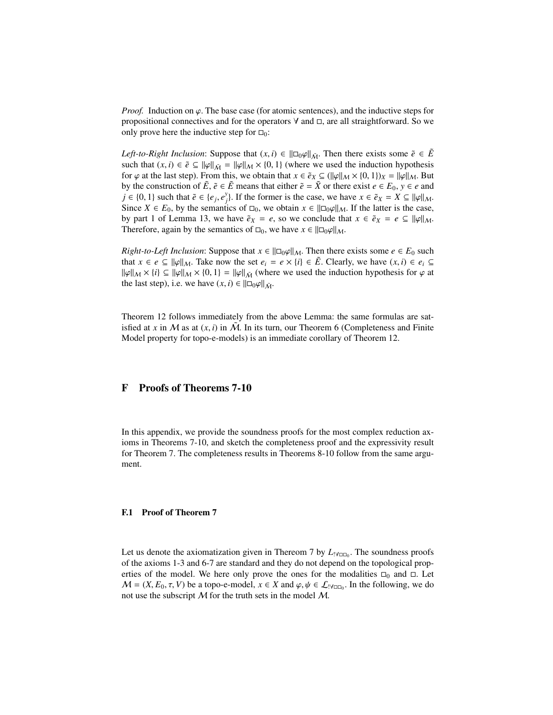*Proof.* Induction on  $\varphi$ . The base case (for atomic sentences), and the inductive steps for propositional connectives and for the operators  $\forall$  and  $\Box$ , are all straightforward. So we only prove here the inductive step for  $\square_0$ :

*Left-to-Right Inclusion*: Suppose that  $(x, i) \in ||\Box_0 \varphi||_{\tilde{M}}$ . Then there exists some  $\tilde{e} \in \tilde{E}$ such that  $(x, i) \in \tilde{e} \subseteq ||\varphi||_{\tilde{M}} = ||\varphi||_{M} \times \{0, 1\}$  (where we used the induction hypothesis for  $\varphi$  at the last step). From this, we obtain that  $x \in \tilde{e}_X \subseteq (\|\varphi\|_{\mathcal{M}} \times \{0, 1\})_X = \|\varphi\|_{\mathcal{M}}$ . But by the construction of  $\tilde{E}$ ,  $\tilde{e} \in \tilde{E}$  means that either  $\tilde{e} = \tilde{X}$  or there exist  $e \in E_0$ ,  $y \in e$  and *j* ∈ {0, 1} such that  $\tilde{e}$  ∈ {*e<sub>j</sub>*,  $e_j^y$ }<br>Since *Y* ∈ *F*<sub>0</sub> by the semanti *j*). If the former is the case, we have  $x \in \tilde{e}_X = X \subseteq ||\varphi||_M$ .<br>ics of  $\Box$  we obtain  $x \in ||\Box \omega||_M$ . If the latter is the case Since  $X \in E_0$ , by the semantics of  $\square_0$ , we obtain  $x \in ||\square_0\varphi||_M$ . If the latter is the case, by part 1 of Lemma 13, we have  $\tilde{e}_X = e$ , so we conclude that  $x \in \tilde{e}_X = e \subseteq ||\varphi||_M$ . Therefore, again by the semantics of  $\square_0$ , we have  $x \in ||\square_0\varphi||_M$ .

*Right-to-Left Inclusion:* Suppose that  $x \in ||\Box_0\varphi||_M$ . Then there exists some  $e \in E_0$  such that  $x \in e \subseteq ||\varphi||_M$ . Take now the set  $e_i = e \times \{i\} \in \tilde{E}$ . Clearly, we have  $(x, i) \in e_i \subseteq$  $\|\varphi\|_{M} \times \{i\} \subseteq \|\varphi\|_{M} \times \{0, 1\} = \|\varphi\|_{\tilde{M}}$  (where we used the induction hypothesis for  $\varphi$  at the last step), i.e. we have  $(x, i) \in ||\Box_0\varphi||_{\tilde{\mathcal{M}}}$ .

Theorem 12 follows immediately from the above Lemma: the same formulas are satisfied at *x* in *M* as at  $(x, i)$  in  $\tilde{M}$ . In its turn, our Theorem 6 (Completeness and Finite Model property for topo-e-models) is an immediate corollary of Theorem 12 Model property for topo-e-models) is an immediate corollary of Theorem 12.

# F Proofs of Theorems 7-10

In this appendix, we provide the soundness proofs for the most complex reduction axioms in Theorems 7-10, and sketch the completeness proof and the expressivity result for Theorem 7. The completeness results in Theorems 8-10 follow from the same argument.

#### F.1 Proof of Theorem 7

Let us denote the axiomatization given in Thereom 7 by  $L_{! \forall \square_0}$ . The soundness proofs of the axioms 1-3 and 6-7 are standard and they do not depend on the topological properties of the model. We here only prove the ones for the modalities  $\Box_0$  and  $\Box$ . Let  $M = (X, E_0, \tau, V)$  be a topo-e-model,  $x \in X$  and  $\varphi, \psi \in \mathcal{L}_{\{Y \cap \Box_0\}}$ . In the following, we do not use the subscript M for the truth sets in the model M not use the subscript  $M$  for the truth sets in the model  $M$ .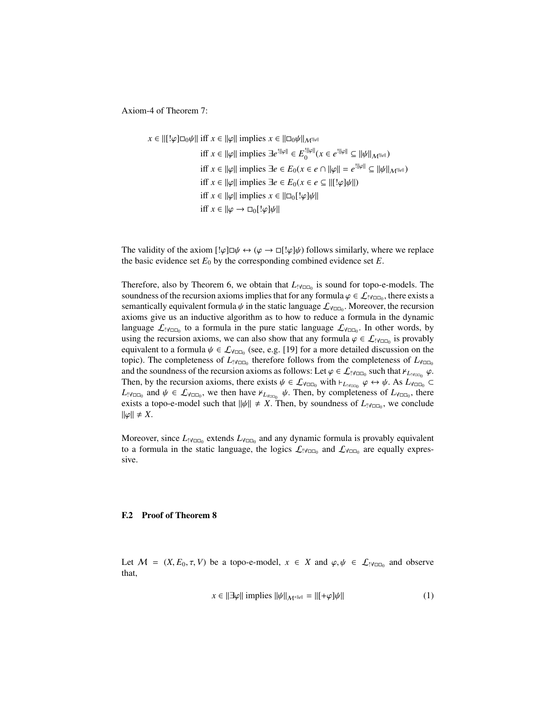Axiom-4 of Theorem 7:

$$
x \in ||[\hspace{.1cm}![\hspace{.1cm}]\varphi]\square_0\psi|| \text{ iff } x \in ||\varphi|| \text{ implies } x \in ||\square_0\psi||_{\mathcal{M}^{||\varphi||}}
$$
\n
$$
\text{ iff } x \in ||\varphi|| \text{ implies } \exists e^{||\varphi||} \in E_0^{||\varphi||}(x \in e^{||\varphi||} \subseteq ||\psi||_{\mathcal{M}^{||\varphi||}})
$$
\n
$$
\text{ iff } x \in ||\varphi|| \text{ implies } \exists e \in E_0(x \in e \cap ||\varphi|| = e^{||\varphi||} \subseteq ||\psi||_{\mathcal{M}^{||\varphi||}})
$$
\n
$$
\text{ iff } x \in ||\varphi|| \text{ implies } \exists e \in E_0(x \in e \subseteq ||[\hspace{.1cm}![\cdot\varphi]\psi||)
$$
\n
$$
\text{ iff } x \in ||\varphi|| \text{ implies } x \in ||\square_0[\hspace{.1cm}![\cdot\varphi]\psi||]
$$
\n
$$
\text{ iff } x \in ||\varphi \to \square_0[\hspace{.1cm}![\cdot\varphi]\psi||]
$$

The validity of the axiom  $[\psi \to \psi \to \psi] \to [\psi \to \psi]$  follows similarly, where we replace the basic evidence set  $E_0$  by the corresponding combined evidence set  $E$ .

Therefore, also by Theorem 6, we obtain that  $L_{\text{IV}\square\text{O}}$  is sound for topo-e-models. The soundness of the recursion axioms implies that for any formula  $\varphi \in \mathcal{L}_{!Y\square\Box}$ , there exists a<br>semantically equivalent formula  $\psi$  in the static language  $\mathcal{L}_{\mathcal{L}=c}$ . Moreover, the recursion semantically equivalent formula  $\psi$  in the static language  $\mathcal{L}_{\forall n}$ . Moreover, the recursion axioms give us an inductive algorithm as to how to reduce a formula in the dynamic axioms give us an inductive algorithm as to how to reduce a formula in the dynamic language  $\mathcal{L}_{\text{IV}CD_0}$  to a formula in the pure static language  $\mathcal{L}_{\text{V}CD_0}$ . In other words, by using the recursion axioms, we can also show that any formula  $\varphi \in \mathcal{L}_{\{Y_{\text{DID}}\}}$  is provably equivalent to a formula  $\psi \in \mathcal{L}_{\{Y_{\text{DID}}\}}$  (see e.g. [19] for a more detailed discussion on the equivalent to a formula  $\psi \in \mathcal{L}_{\forall \Box \Box_0}$  (see, e.g. [19] for a more detailed discussion on the topic). The completeness of  $I_{\Box}$  therefore follows from the completeness of  $I_{\Box}$ topic). The completeness of *L*<sub>!∀□□</sub><sub>0</sub> therefore follows from the completeness of *L*<sub>∀□□</sub><sub>0</sub> and the soundness of the recursion axioms as follows: Let  $\varphi \in \mathcal{L}_{1}$  v<sub>DD<sub>0</sub></sub> such that  $\varphi_{L_{1} \vee_{\text{U}} \cap Q}$   $\varphi$ .<br>Then by the recursion axioms, there exists  $\psi \in \mathcal{L}_{\Omega}$ , with L<sub>i</sub>  $\varphi \leftrightarrow \psi$  As  $L_{\Omega}$ Then, by the recursion axioms, there exists  $\psi \in \mathcal{L}_{\forall \Box \Box_0}$  with  $\vdash_{L \lor \Box \Box_0} \phi \leftrightarrow \psi$ . As  $L_{\forall \Box \Box_0} \subset L_{\forall L}$  and  $\psi \in \mathcal{L}_{\forall L}$  we then have  $\kappa_L$   $\psi$ . Then, by completeness of  $L_{\forall L}$  there  $L_{\text{IV}}$ <sub>DD</sub> and  $\psi \in \mathcal{L}_{\text{V}}$ <sub>DD</sub>, we then have  $\mathcal{L}_{L_{\text{V}}$ <sub>DD</sub>,  $\psi$ . Then, by completeness of  $L_{\text{V}}$ <sub>DD</sub>, there exists a topo-e-model such that  $||\psi|| \neq X$ . Then, by soundness of  $L_{|\forall \Box \Box}$ , we conclude  $\|\varphi\| \neq X.$ 

Moreover, since  $L_{\text{PyCD}_0}$  extends  $L_{\text{YOD}_0}$  and any dynamic formula is provably equivalent to a formula in the static language, the logics  $\mathcal{L}_{\text{IV}\square\text{C}_0}$  and  $\mathcal{L}_{\text{V}\square\text{C}_0}$  are equally expressive.

#### F.2 Proof of Theorem 8

Let  $M = (X, E_0, \tau, V)$  be a topo-e-model,  $x \in X$  and  $\varphi, \psi \in \mathcal{L}_{\text{IVDD}_0}$  and observe that that,

$$
x \in ||\exists \varphi|| \text{ implies } ||\psi||_{\mathcal{M}^{+||\varphi||}} = ||[+\varphi]\psi|| \tag{1}
$$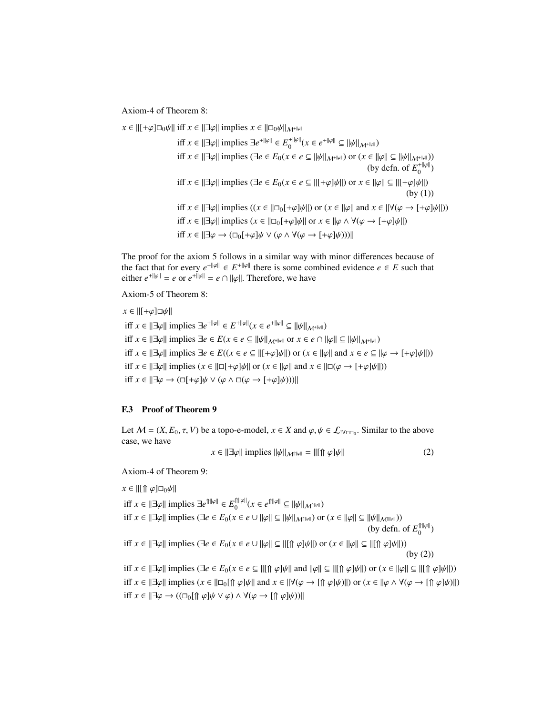Axiom-4 of Theorem 8:

 $x \in ||[+\varphi]\Box_0\psi||$  iff  $x \in ||\exists\varphi||$  implies  $x \in ||\Box_0\psi||_{M^{+||\varphi||}}$  $\inf x \in ||\exists \varphi|| \text{ implies } \exists e^{+||\varphi||} \in E_0^{+||\varphi||}(x \in e^{+||\varphi||} \subseteq ||\psi||_{\mathcal{M}^{+||\varphi||}})$ iff  $x \in ||\exists \varphi||$  implies  $(\exists e \in E_0(x \in e \subseteq ||\psi||_{\mathcal{M}^{+||\varphi||}})$  or  $(x \in ||\varphi|| \subseteq ||\psi||_{\mathcal{M}^{+||\varphi||}})$ ) (by defn. of  $E_0^{+||\varphi||}$ ) iff  $x \in ||\exists \varphi||$  implies ( $\exists e \in E_0(x \in e \subseteq ||[+\varphi]\psi||)$  or  $x \in ||\varphi|| \subseteq ||[+\varphi]\psi||)$ (by (1)) iff  $x \in ||\exists \varphi||$  implies  $((x \in ||\Box_0[+\varphi]\psi||)$  or  $(x \in ||\varphi||)$  and  $x \in ||\forall (\varphi \rightarrow [+\varphi]\psi||)$ iff  $x \in ||\exists \varphi||$  implies  $(x \in ||\Box_0[+\varphi]\psi||$  or  $x \in ||\varphi \land \forall (\varphi \rightarrow [+\varphi]\psi||)$ iff  $x \in ||\exists \varphi \rightarrow (\Box_0[+\varphi]\psi \lor (\varphi \land \forall (\varphi \rightarrow [+\varphi]\psi))||$ 

The proof for the axiom 5 follows in a similar way with minor differences because of the fact that for every  $e^{+||\varphi||} \in E^{+||\varphi||}$  there is some combined evidence  $e \in E$  such that either  $e^{+||\varphi||} = e$  or  $e^{+||\varphi||} = e \cap ||\varphi||$ . Therefore, we have

Axiom-5 of Theorem 8:

 $x \in ||[+\varphi]\Box\psi||$  $\inf x \in ||\exists \varphi|| \text{ implies } \exists e^{+||\varphi||} \in E^{+||\varphi||}(x \in e^{+||\varphi||} \subseteq ||\psi||_{\mathcal{M}^{+||\varphi||}})$ iff  $x \in ||\exists \varphi||$  implies  $\exists e \in E$  ( $x \in e \subseteq ||\psi||_{M^{+||\varphi||}}$  or  $x \in e \cap ||\varphi|| \subseteq ||\psi||_{M^{+||\varphi||}}$ ) iff  $x \in ||\exists \varphi||$  implies  $\exists e \in E((x \in e \subseteq ||[+\varphi]\psi||)$  or  $(x \in ||\varphi||)$  and  $x \in e \subseteq ||\varphi \rightarrow [+\varphi]\psi||)$ iff  $x \in ||\exists \varphi||$  implies  $(x \in ||\Box[\pm \varphi]\psi||$  or  $(x \in ||\varphi||)$  and  $x \in ||\Box(\varphi \rightarrow [\pm \varphi]\psi||)$ ) iff  $x \in ||\exists \varphi \rightarrow (\Box[\pm \varphi]\psi \lor (\varphi \land \Box(\varphi \rightarrow [\pm \varphi]\psi))||$ 

#### F.3 Proof of Theorem 9

Let  $M = (X, E_0, \tau, V)$  be a topo-e-model,  $x \in X$  and  $\varphi, \psi \in \mathcal{L}_{\text{IVDD}_0}$ . Similar to the above case, we have case, we have

$$
x \in ||\exists \varphi|| \text{ implies } ||\psi||_{\mathcal{M}^{\text{full}}} = ||[\Uparrow \varphi]\psi|| \tag{2}
$$

Axiom-4 of Theorem 9:

 $x \in ||[\Uparrow \varphi] \Box_0 \psi||$ 

 $\inf x \in ||\exists \varphi|| \text{ implies } \exists e^{\hat{\Pi}||\varphi||} \in E_0^{\hat{\Pi}||\varphi||}(x \in e^{\hat{\Pi}||\varphi||} \subseteq ||\psi||_{\mathcal{M}^{\hat{\Pi}||\varphi||}})$ iff  $x \in ||\exists \varphi||$  implies  $(\exists e \in E_0(x \in e \cup ||\varphi|| \subseteq ||\psi||_{\mathcal{M}^{\text{fill}}})$  or  $(x \in ||\varphi|| \subseteq ||\psi||_{\mathcal{M}^{\text{fill}}})$ (by defn. of  $E_0^{\text{min}}$ ) iff  $x \in ||\exists \varphi||$  implies  $(\exists e \in E_0(x \in e \cup ||\varphi|| \subseteq ||[\Uparrow \varphi]\psi||)$  or  $(x \in ||\varphi|| \subseteq ||[\Uparrow \varphi]\psi||)$ ) (by (2)) <sup>i</sup>ff *<sup>x</sup>* ∈ ||∃ϕ|| implies (∃*<sup>e</sup>* <sup>∈</sup> *<sup>E</sup>*0(*<sup>x</sup>* <sup>∈</sup> *<sup>e</sup>* ⊆ ||[⇑ ϕ]ψ|| and ||ϕ|| ⊆ ||[⇑ ϕ]ψ||) or (*<sup>x</sup>* ∈ ||ϕ|| ⊆ ||[⇑ ϕ]ψ||)) iff  $x \in ||\exists \varphi||$  implies  $(x \in ||\Box_0[\Uparrow \varphi]\psi||$  and  $x \in ||\forall (\varphi \rightarrow [\Uparrow \varphi]\psi)||$  or  $(x \in ||\varphi \land \forall (\varphi \rightarrow [\Uparrow \varphi]\psi)||)$ 

iff  $x \in ||\exists \varphi \rightarrow ((\Box_0[\Uparrow \varphi]\psi \vee \varphi) \wedge \forall (\varphi \rightarrow [\Uparrow \varphi]\psi))]$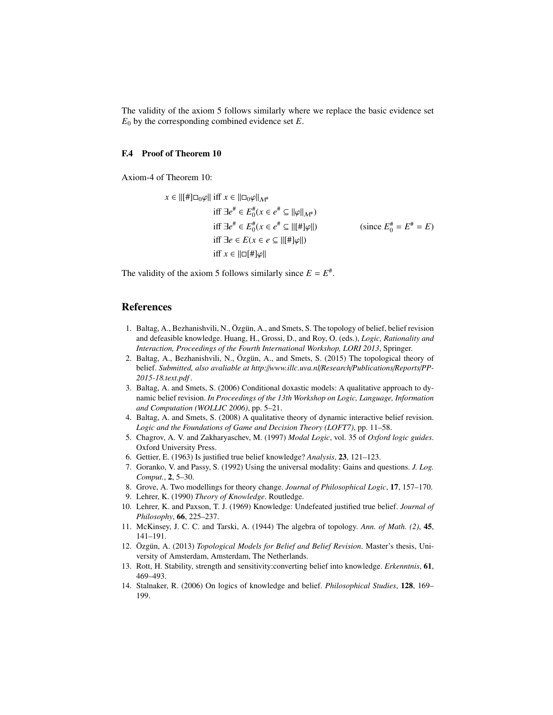The validity of the axiom 5 follows similarly where we replace the basic evidence set  $E_0$  by the corresponding combined evidence set  $E$ .

#### F.4 Proof of Theorem 10

Axiom-4 of Theorem 10:

$$
x \in ||[ \# ]\square_0 \varphi || \text{ iff } x \in ||\square_0 \varphi ||_{\mathcal{M}^{\#}}\n\text{ iff } \exists e^{\#} \in E_0^{\#}(x \in e^{\#} \subseteq ||\varphi||_{\mathcal{M}^{\#}})\n\text{ iff } \exists e^{\#} \in E_0^{\#}(x \in e^{\#} \subseteq ||[\#]\varphi||)\n\text{ iff } \exists e \in E(x \in e \subseteq ||[\#]\varphi||)\n\text{ iff } x \in ||\square[\#]\varphi||\n\end{split} \tag{since } E_0^{\#} = E^{\#} = E)
$$

The validity of the axiom 5 follows similarly since  $E = E^*$ .

### References

- 1. Baltag, A., Bezhanishvili, N., Özgün, A., and Smets, S. The topology of belief, belief revision and defeasible knowledge. Huang, H., Grossi, D., and Roy, O. (eds.), *Logic, Rationality and Interaction, Proceedings of the Fourth International Workshop, LORI 2013*, Springer.
- 2. Baltag, A., Bezhanishvili, N., Özgün, A., and Smets, S. (2015) The topological theory of belief. *Submitted, also avaliable at http:*//*www.illc.uva.nl*/*Research*/*Publications*/*Reports*/*PP-2015-18.text.pdf* .
- 3. Baltag, A. and Smets, S. (2006) Conditional doxastic models: A qualitative approach to dynamic belief revision. *In Proceedings of the 13th Workshop on Logic, Language, Information and Computation (WOLLIC 2006)*, pp. 5–21.
- 4. Baltag, A. and Smets, S. (2008) A qualitative theory of dynamic interactive belief revision. *Logic and the Foundations of Game and Decision Theory (LOFT7)*, pp. 11–58.
- 5. Chagrov, A. V. and Zakharyaschev, M. (1997) *Modal Logic*, vol. 35 of *Oxford logic guides*. Oxford University Press.
- 6. Gettier, E. (1963) Is justified true belief knowledge? *Analysis*, 23, 121–123.
- 7. Goranko, V. and Passy, S. (1992) Using the universal modality: Gains and questions. *J. Log. Comput.*, 2, 5–30.
- 8. Grove, A. Two modellings for theory change. *Journal of Philosophical Logic*, 17, 157–170.
- 9. Lehrer, K. (1990) *Theory of Knowledge*. Routledge.
- 10. Lehrer, K. and Paxson, T. J. (1969) Knowledge: Undefeated justified true belief. *Journal of Philosophy*, 66, 225–237.
- 11. McKinsey, J. C. C. and Tarski, A. (1944) The algebra of topology. *Ann. of Math. (2)*, 45, 141–191.
- 12. Özgün, A. (2013) Topological Models for Belief and Belief Revision. Master's thesis, University of Amsterdam, Amsterdam, The Netherlands.
- 13. Rott, H. Stability, strength and sensitivity:converting belief into knowledge. *Erkenntnis*, 61, 469–493.
- 14. Stalnaker, R. (2006) On logics of knowledge and belief. *Philosophical Studies*, 128, 169– 199.